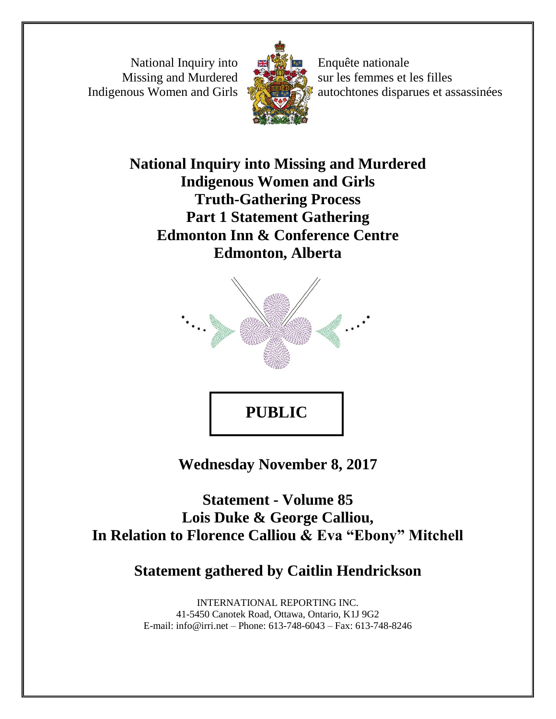National Inquiry into Missing and Murdered Indigenous Women and Girls



Enquête nationale sur les femmes et les filles autochtones disparues et assassinées

**National Inquiry into Missing and Murdered Indigenous Women and Girls Truth-Gathering Process Part 1 Statement Gathering Edmonton Inn & Conference Centre Edmonton, Alberta**



**Wednesday November 8, 2017**

**Statement - Volume 85 Lois Duke & George Calliou, In Relation to Florence Calliou & Eva "Ebony" Mitchell**

**Statement gathered by Caitlin Hendrickson**

INTERNATIONAL REPORTING INC. 41-5450 Canotek Road, Ottawa, Ontario, K1J 9G2 E-mail: info@irri.net – Phone: 613-748-6043 – Fax: 613-748-8246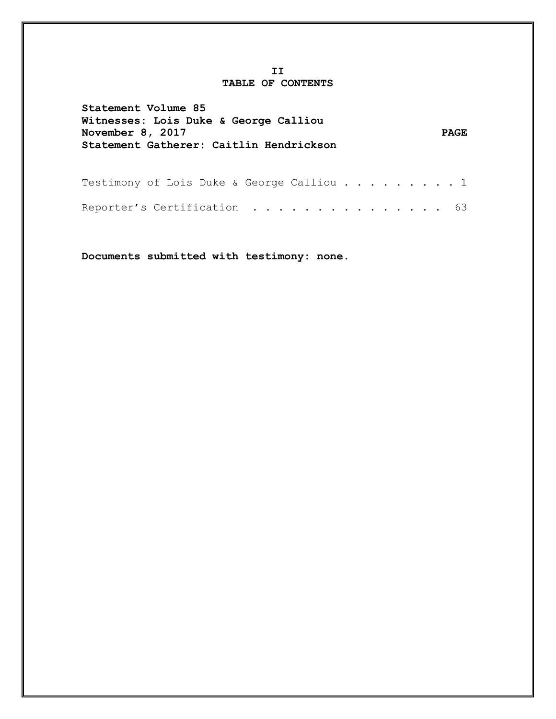#### **II TABLE OF CONTENTS**

| Statement Volume 85<br>Witnesses: Lois Duke & George Calliou<br>November 8, 2017<br>Statement Gatherer: Caitlin Hendrickson | <b>PAGE</b> |
|-----------------------------------------------------------------------------------------------------------------------------|-------------|
| Testimony of Lois Duke & George Calliou 1                                                                                   |             |
| Reporter's Certification 63                                                                                                 |             |

**Documents submitted with testimony: none.**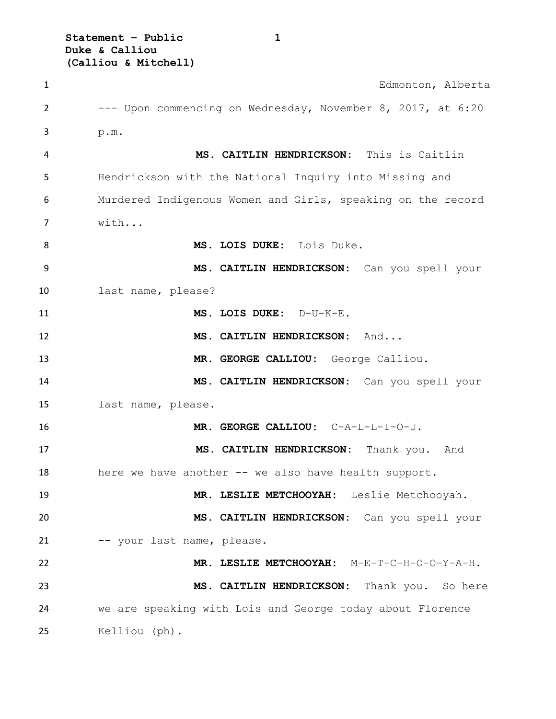**Statement – Public 1 Duke & Calliou (Calliou & Mitchell)**

 Edmonton, Alberta --- Upon commencing on Wednesday, November 8, 2017, at 6:20 p.m. **MS. CAITLIN HENDRICKSON:** This is Caitlin Hendrickson with the National Inquiry into Missing and Murdered Indigenous Women and Girls, speaking on the record with... **MS. LOIS DUKE:** Lois Duke. **MS. CAITLIN HENDRICKSON:** Can you spell your last name, please? **MS. LOIS DUKE:** D-U-K-E. **MS. CAITLIN HENDRICKSON:** And... **MR. GEORGE CALLIOU:** George Calliou. **MS. CAITLIN HENDRICKSON:** Can you spell your last name, please. **MR. GEORGE CALLIOU:** C-A-L-L-I-O-U. **MS. CAITLIN HENDRICKSON:** Thank you. And 18 here we have another -- we also have health support. **MR. LESLIE METCHOOYAH:** Leslie Metchooyah. **MS. CAITLIN HENDRICKSON:** Can you spell your -- your last name, please. **MR. LESLIE METCHOOYAH:** M-E-T-C-H-O-O-Y-A-H. **MS. CAITLIN HENDRICKSON:** Thank you. So here we are speaking with Lois and George today about Florence Kelliou (ph).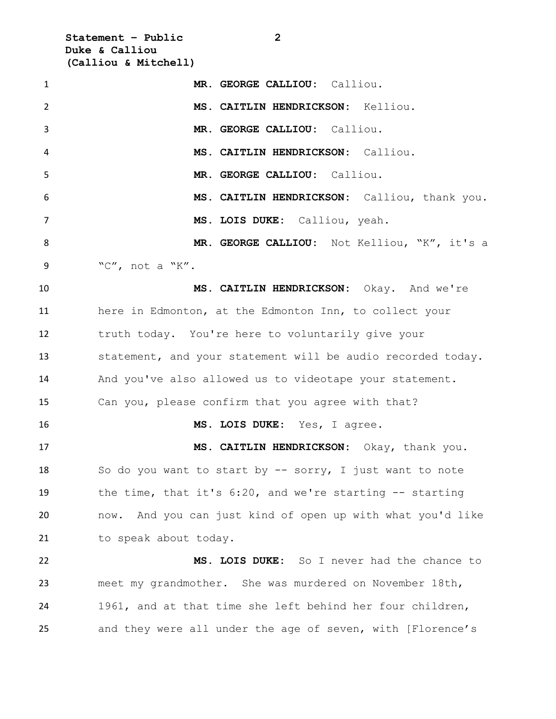**Statement – Public 2 Duke & Calliou (Calliou & Mitchell)**

| $\mathbf{1}$   | MR. GEORGE CALLIOU: Calliou.                                |
|----------------|-------------------------------------------------------------|
| $\overline{2}$ | MS. CAITLIN HENDRICKSON: Kelliou.                           |
| 3              | MR. GEORGE CALLIOU: Calliou.                                |
| 4              | MS. CAITLIN HENDRICKSON: Calliou.                           |
| 5              | MR. GEORGE CALLIOU: Calliou.                                |
| 6              | MS. CAITLIN HENDRICKSON: Calliou, thank you.                |
| 7              | MS. LOIS DUKE: Calliou, yeah.                               |
| 8              | MR. GEORGE CALLIOU: Not Kelliou, "K", it's a                |
| 9              | "C", not a "K".                                             |
| 10             | MS. CAITLIN HENDRICKSON: Okay. And we're                    |
| 11             | here in Edmonton, at the Edmonton Inn, to collect your      |
| 12             | truth today. You're here to voluntarily give your           |
| 13             | statement, and your statement will be audio recorded today. |
| 14             | And you've also allowed us to videotape your statement.     |
| 15             | Can you, please confirm that you agree with that?           |
| 16             | MS. LOIS DUKE: Yes, I agree.                                |
| 17             | MS. CAITLIN HENDRICKSON: Okay, thank you.                   |
| 18             | So do you want to start by $-$ sorry, I just want to note   |
| 19             | the time, that it's $6:20$ , and we're starting -- starting |
| 20             | now. And you can just kind of open up with what you'd like  |
| 21             | to speak about today.                                       |
| 22             | MS. LOIS DUKE: So I never had the chance to                 |
| 23             | meet my grandmother. She was murdered on November 18th,     |
| 24             | 1961, and at that time she left behind her four children,   |
| 25             | and they were all under the age of seven, with [Florence's  |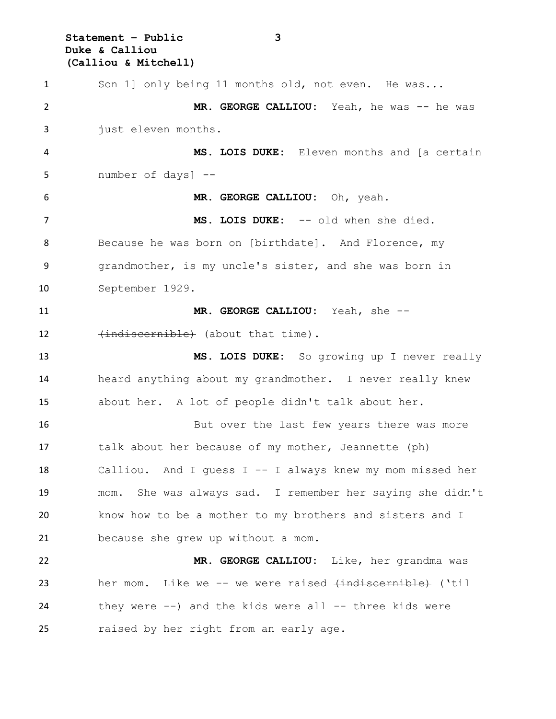**Statement – Public 3 Duke & Calliou (Calliou & Mitchell)**

 Son 1] only being 11 months old, not even. He was... 2 MR. GEORGE CALLIOU: Yeah, he was -- he was just eleven months. **MS. LOIS DUKE:** Eleven months and [a certain number of days] -- **MR. GEORGE CALLIOU:** Oh, yeah. **MS. LOIS DUKE:** -- old when she died. Because he was born on [birthdate]. And Florence, my grandmother, is my uncle's sister, and she was born in September 1929. **MR. GEORGE CALLIOU:** Yeah, she -- 12 (indiscernible) (about that time). **MS. LOIS DUKE:** So growing up I never really heard anything about my grandmother. I never really knew about her. A lot of people didn't talk about her. 16 But over the last few years there was more talk about her because of my mother, Jeannette (ph) Calliou. And I guess I -- I always knew my mom missed her mom. She was always sad. I remember her saying she didn't know how to be a mother to my brothers and sisters and I because she grew up without a mom. **MR. GEORGE CALLIOU:** Like, her grandma was her mom. Like we -- we were raised (indiscernible) ('til they were --) and the kids were all -- three kids were raised by her right from an early age.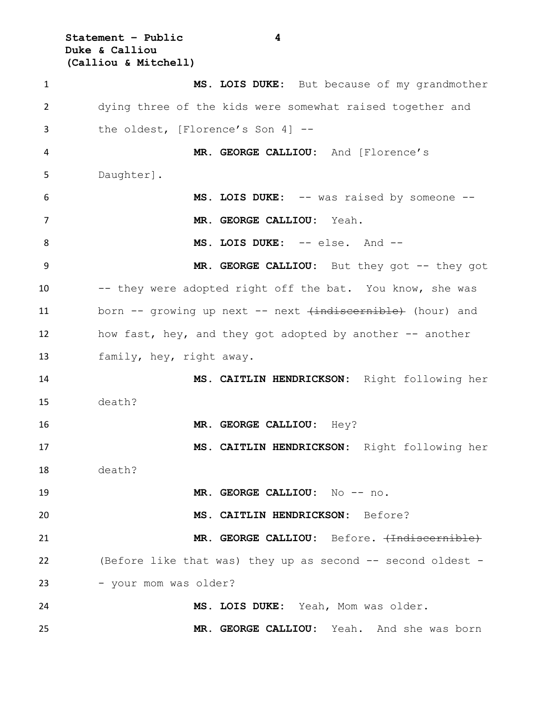**Statement – Public 4 Duke & Calliou (Calliou & Mitchell)**

 **MS. LOIS DUKE:** But because of my grandmother dying three of the kids were somewhat raised together and the oldest, [Florence's Son 4] -- **MR. GEORGE CALLIOU:** And [Florence's Daughter]. **MS. LOIS DUKE:** -- was raised by someone -- **MR. GEORGE CALLIOU:** Yeah. **MS. LOIS DUKE:** -- else. And -- **MR. GEORGE CALLIOU:** But they got -- they got 10 -- they were adopted right off the bat. You know, she was 11 born -- growing up next -- next (indiscernible) (hour) and how fast, hey, and they got adopted by another -- another family, hey, right away. **MS. CAITLIN HENDRICKSON:** Right following her death? **MR. GEORGE CALLIOU:** Hey? **MS. CAITLIN HENDRICKSON:** Right following her death? **MR. GEORGE CALLIOU:** No -- no. **MS. CAITLIN HENDRICKSON:** Before? **MR. GEORGE CALLIOU:** Before. (Indiscernible) (Before like that was) they up as second -- second oldest - 23 - your mom was older? **MS. LOIS DUKE:** Yeah, Mom was older. **MR. GEORGE CALLIOU:** Yeah. And she was born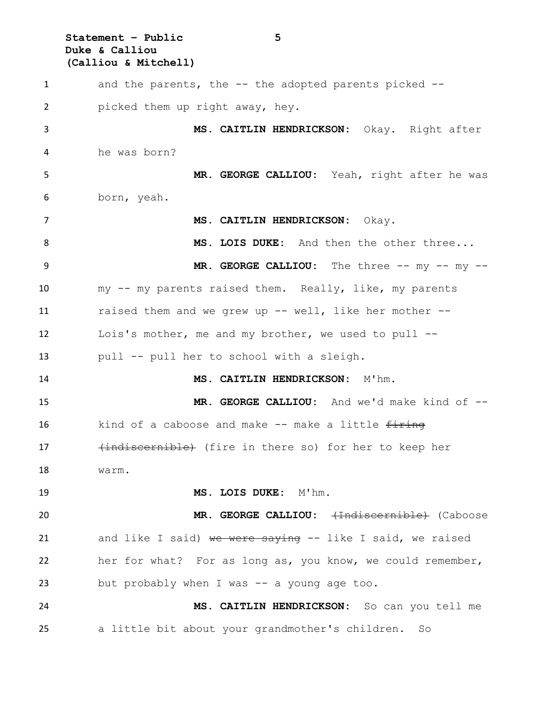**Statement – Public 5 Duke & Calliou (Calliou & Mitchell)** and the parents, the -- the adopted parents picked -- picked them up right away, hey. **MS. CAITLIN HENDRICKSON:** Okay. Right after he was born? **MR. GEORGE CALLIOU:** Yeah, right after he was born, yeah. **MS. CAITLIN HENDRICKSON:** Okay. **MS. LOIS DUKE:** And then the other three... **MR. GEORGE CALLIOU:** The three -- my -- my -- my -- my parents raised them. Really, like, my parents raised them and we grew up -- well, like her mother -- Lois's mother, me and my brother, we used to pull -- pull -- pull her to school with a sleigh. **MS. CAITLIN HENDRICKSON:** M'hm. **MR. GEORGE CALLIOU:** And we'd make kind of -- 16 kind of a caboose and make -- make a little firing 17 (indiscernible) (fire in there so) for her to keep her warm. **MS. LOIS DUKE:** M'hm. **MR. GEORGE CALLIOU:** (Indiscernible) (Caboose 21 and like I said) we were saying -- like I said, we raised her for what? For as long as, you know, we could remember, but probably when I was -- a young age too. **MS. CAITLIN HENDRICKSON:** So can you tell me a little bit about your grandmother's children. So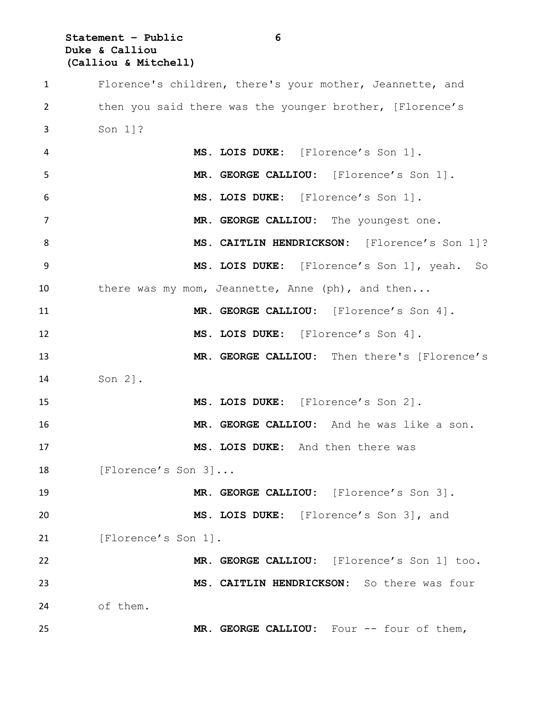**Statement – Public 6 Duke & Calliou (Calliou & Mitchell)**

 Florence's children, there's your mother, Jeannette, and then you said there was the younger brother, [Florence's Son 1]? **MS. LOIS DUKE:** [Florence's Son 1]. **MR. GEORGE CALLIOU:** [Florence's Son 1]. **MS. LOIS DUKE:** [Florence's Son 1]. **MR. GEORGE CALLIOU:** The youngest one. 8 MS. CAITLIN HENDRICKSON: [Florence's Son 1]? **MS. LOIS DUKE:** [Florence's Son 1], yeah. So 10 there was my mom, Jeannette, Anne (ph), and then... **MR. GEORGE CALLIOU:** [Florence's Son 4]. **MS. LOIS DUKE:** [Florence's Son 4]. **MR. GEORGE CALLIOU:** Then there's [Florence's Son 2]. **MS. LOIS DUKE:** [Florence's Son 2]. **MR. GEORGE CALLIOU:** And he was like a son. **MS. LOIS DUKE:** And then there was 18 [Florence's Son 3]... **MR. GEORGE CALLIOU:** [Florence's Son 3]. **MS. LOIS DUKE:** [Florence's Son 3], and 21 [Florence's Son 1]. **MR. GEORGE CALLIOU:** [Florence's Son 1] too. **MS. CAITLIN HENDRICKSON:** So there was four of them. **MR. GEORGE CALLIOU:** Four -- four of them,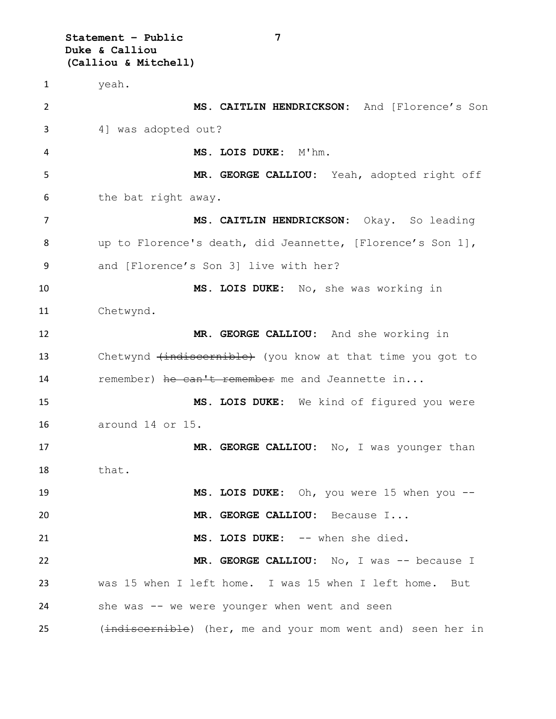**Statement – Public 7 Duke & Calliou (Calliou & Mitchell)** yeah. **MS. CAITLIN HENDRICKSON:** And [Florence's Son 4] was adopted out? **MS. LOIS DUKE:** M'hm. **MR. GEORGE CALLIOU:** Yeah, adopted right off the bat right away. **MS. CAITLIN HENDRICKSON:** Okay. So leading up to Florence's death, did Jeannette, [Florence's Son 1], and [Florence's Son 3] live with her? **MS. LOIS DUKE:** No, she was working in Chetwynd. **MR. GEORGE CALLIOU:** And she working in 13 Chetwynd (indiscernible) (you know at that time you got to 14 remember) he can't remember me and Jeannette in... **MS. LOIS DUKE:** We kind of figured you were around 14 or 15. **MR. GEORGE CALLIOU:** No, I was younger than that. **MS. LOIS DUKE:** Oh, you were 15 when you -- **MR. GEORGE CALLIOU:** Because I... **MS. LOIS DUKE:** -- when she died. **MR. GEORGE CALLIOU:** No, I was -- because I was 15 when I left home. I was 15 when I left home. But she was -- we were younger when went and seen 25 (indiscernible) (her, me and your mom went and) seen her in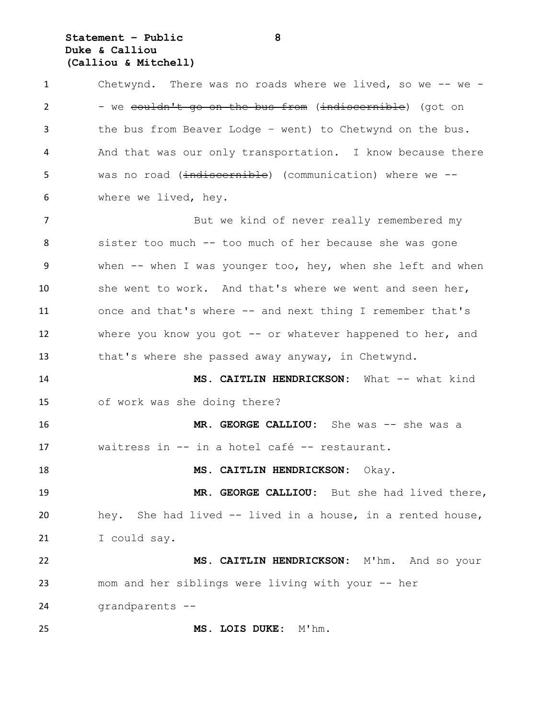# **Statement – Public 8 Duke & Calliou (Calliou & Mitchell)**

| $\mathbf{1}$   | Chetwynd. There was no roads where we lived, so we $-$ we $-$ |
|----------------|---------------------------------------------------------------|
| $\overline{2}$ | - we couldn't go on the bus from (indiscernible) (got on      |
| 3              | the bus from Beaver Lodge - went) to Chetwynd on the bus.     |
| 4              | And that was our only transportation. I know because there    |
| 5              | was no road (indiscernible) (communication) where we --       |
| 6              | where we lived, hey.                                          |
| 7              | But we kind of never really remembered my                     |
| 8              | sister too much -- too much of her because she was gone       |
| 9              | when -- when I was younger too, hey, when she left and when   |
| 10             | she went to work. And that's where we went and seen her,      |
| 11             | once and that's where -- and next thing I remember that's     |
| 12             | where you know you got $-$ or whatever happened to her, and   |
| 13             | that's where she passed away anyway, in Chetwynd.             |
| 14             | MS. CAITLIN HENDRICKSON: What -- what kind                    |
| 15             | of work was she doing there?                                  |
| 16             | MR. GEORGE CALLIOU: She was -- she was a                      |
| 17             | waitress in -- in a hotel café -- restaurant.                 |
| 18             | MS. CAITLIN HENDRICKSON: Okay.                                |
| 19             | MR. GEORGE CALLIOU: But she had lived there,                  |
| 20             | hey. She had lived -- lived in a house, in a rented house,    |
| 21             | I could say.                                                  |
| 22             | MS. CAITLIN HENDRICKSON: M'hm. And so your                    |
| 23             | mom and her siblings were living with your -- her             |
| 24             | grandparents --                                               |
| 25             | MS. LOIS DUKE: M'hm.                                          |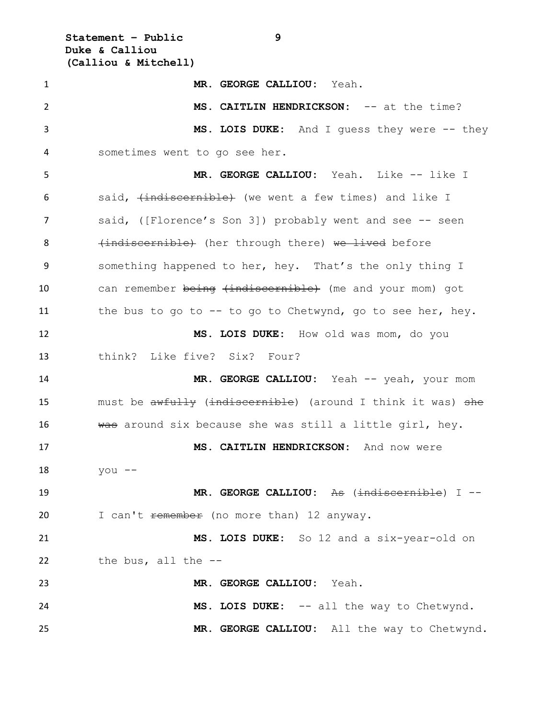**Statement – Public 9 Duke & Calliou (Calliou & Mitchell)**

 **MR. GEORGE CALLIOU:** Yeah. **MS. CAITLIN HENDRICKSON:** -- at the time? **MS. LOIS DUKE:** And I guess they were -- they sometimes went to go see her. **MR. GEORGE CALLIOU:** Yeah. Like -- like I 6 said, (indiscernible) (we went a few times) and like I said, ([Florence's Son 3]) probably went and see -- seen 8 (indiscernible) (her through there) we lived before something happened to her, hey. That's the only thing I 10 can remember being (indiscernible) (me and your mom) got 11 the bus to go to -- to go to Chetwynd, go to see her, hey. **MS. LOIS DUKE:** How old was mom, do you think? Like five? Six? Four? 14 MR. GEORGE CALLIOU: Yeah -- yeah, your mom 15 must be awfully (indiscernible) (around I think it was) she 16 was around six because she was still a little girl, hey. **MS. CAITLIN HENDRICKSON:** And now were you -- **MR. GEORGE CALLIOU:** As (indiscernible) I -- 20 I can't remember (no more than) 12 anyway. **MS. LOIS DUKE:** So 12 and a six-year-old on the bus, all the -- **MR. GEORGE CALLIOU:** Yeah. **MS. LOIS DUKE:** -- all the way to Chetwynd. **MR. GEORGE CALLIOU:** All the way to Chetwynd.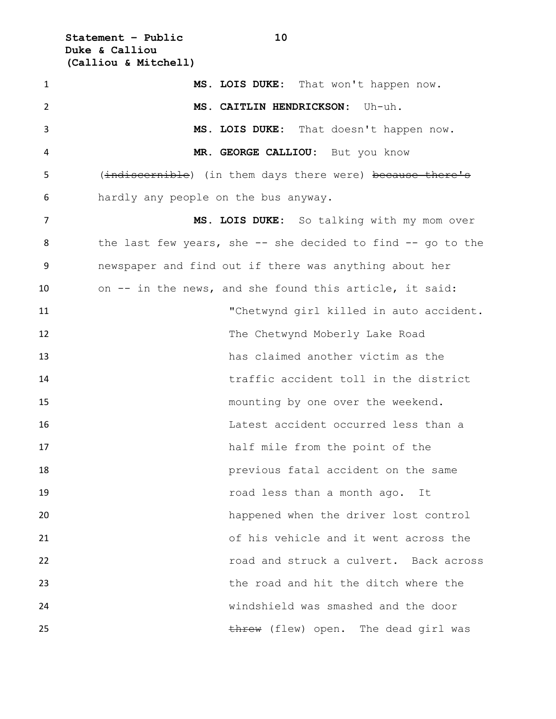**Statement – Public 10 Duke & Calliou (Calliou & Mitchell)**

| $\mathbf{1}$ | MS. LOIS DUKE: That won't happen now.                             |
|--------------|-------------------------------------------------------------------|
| 2            | MS. CAITLIN HENDRICKSON: Uh-uh.                                   |
| 3            | MS. LOIS DUKE: That doesn't happen now.                           |
| 4            | MR. GEORGE CALLIOU: But you know                                  |
| 5            | (indiscernible) (in them days there were) because there's         |
| 6            | hardly any people on the bus anyway.                              |
| 7            | MS. LOIS DUKE: So talking with my mom over                        |
| 8            | the last few years, she $-$ - she decided to find $-$ - go to the |
| 9            | newspaper and find out if there was anything about her            |
| 10           | on -- in the news, and she found this article, it said:           |
| 11           | "Chetwynd girl killed in auto accident.                           |
| 12           | The Chetwynd Moberly Lake Road                                    |
| 13           | has claimed another victim as the                                 |
| 14           | traffic accident toll in the district                             |
| 15           | mounting by one over the weekend.                                 |
| 16           | Latest accident occurred less than a                              |
| 17           | half mile from the point of the                                   |
| 18           | previous fatal accident on the same                               |
| 19           | road less than a month ago. It                                    |
| 20           | happened when the driver lost control                             |
| 21           | of his vehicle and it went across the                             |
| 22           | road and struck a culvert. Back across                            |
| 23           | the road and hit the ditch where the                              |
| 24           | windshield was smashed and the door                               |
| 25           | threw (flew) open. The dead girl was                              |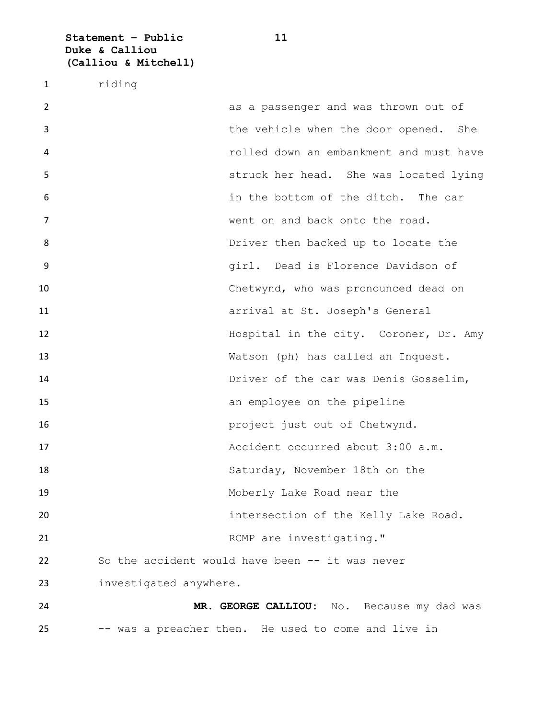**Statement – Public 11 Duke & Calliou (Calliou & Mitchell)**

riding

 as a passenger and was thrown out of the vehicle when the door opened. She rolled down an embankment and must have struck her head. She was located lying in the bottom of the ditch. The car went on and back onto the road. 8 Briver then backed up to locate the girl. Dead is Florence Davidson of Chetwynd, who was pronounced dead on arrival at St. Joseph's General Hospital in the city. Coroner, Dr. Amy Watson (ph) has called an Inquest. Driver of the car was Denis Gosselim, an employee on the pipeline **project** just out of Chetwynd. Accident occurred about 3:00 a.m. Saturday, November 18th on the Moberly Lake Road near the intersection of the Kelly Lake Road. 21 RCMP are investigating." So the accident would have been -- it was never investigated anywhere. **MR. GEORGE CALLIOU:** No. Because my dad was -- was a preacher then. He used to come and live in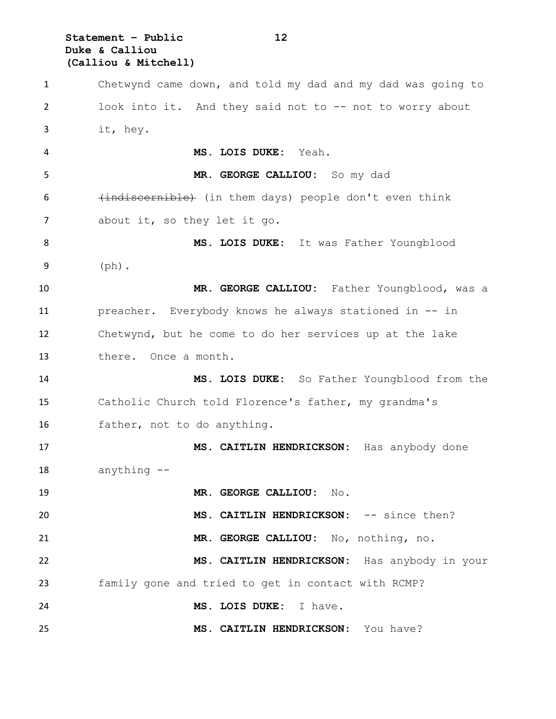**Statement – Public 12 Duke & Calliou (Calliou & Mitchell)**

 Chetwynd came down, and told my dad and my dad was going to look into it. And they said not to -- not to worry about it, hey. **MS. LOIS DUKE:** Yeah. **MR. GEORGE CALLIOU:** So my dad 6 (indiscernible) (in them days) people don't even think 7 about it, so they let it go. **MS. LOIS DUKE:** It was Father Youngblood (ph). **MR. GEORGE CALLIOU:** Father Youngblood, was a preacher. Everybody knows he always stationed in -- in Chetwynd, but he come to do her services up at the lake there. Once a month. **MS. LOIS DUKE:** So Father Youngblood from the Catholic Church told Florence's father, my grandma's father, not to do anything. **MS. CAITLIN HENDRICKSON:** Has anybody done anything -- **MR. GEORGE CALLIOU:** No. **MS. CAITLIN HENDRICKSON:** -- since then? **MR. GEORGE CALLIOU:** No, nothing, no. **MS. CAITLIN HENDRICKSON:** Has anybody in your family gone and tried to get in contact with RCMP? **MS. LOIS DUKE:** I have. **MS. CAITLIN HENDRICKSON:** You have?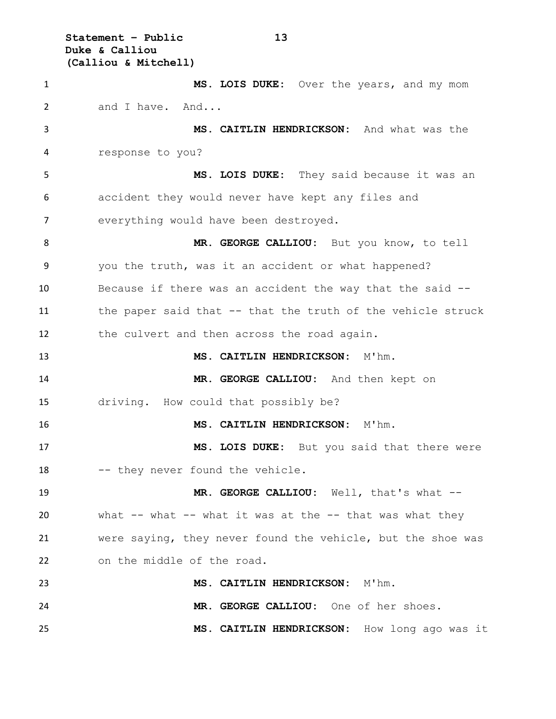**Statement – Public 13 Duke & Calliou (Calliou & Mitchell)**

 **MS. LOIS DUKE:** Over the years, and my mom and I have. And... **MS. CAITLIN HENDRICKSON:** And what was the response to you? **MS. LOIS DUKE:** They said because it was an accident they would never have kept any files and everything would have been destroyed. **MR. GEORGE CALLIOU:** But you know, to tell you the truth, was it an accident or what happened? Because if there was an accident the way that the said -- the paper said that -- that the truth of the vehicle struck the culvert and then across the road again. **MS. CAITLIN HENDRICKSON:** M'hm. **MR. GEORGE CALLIOU:** And then kept on driving. How could that possibly be? **MS. CAITLIN HENDRICKSON:** M'hm. **MS. LOIS DUKE:** But you said that there were 18 -- they never found the vehicle. **MR. GEORGE CALLIOU:** Well, that's what -- what -- what -- what it was at the -- that was what they were saying, they never found the vehicle, but the shoe was on the middle of the road. **MS. CAITLIN HENDRICKSON:** M'hm. **MR. GEORGE CALLIOU:** One of her shoes. **MS. CAITLIN HENDRICKSON:** How long ago was it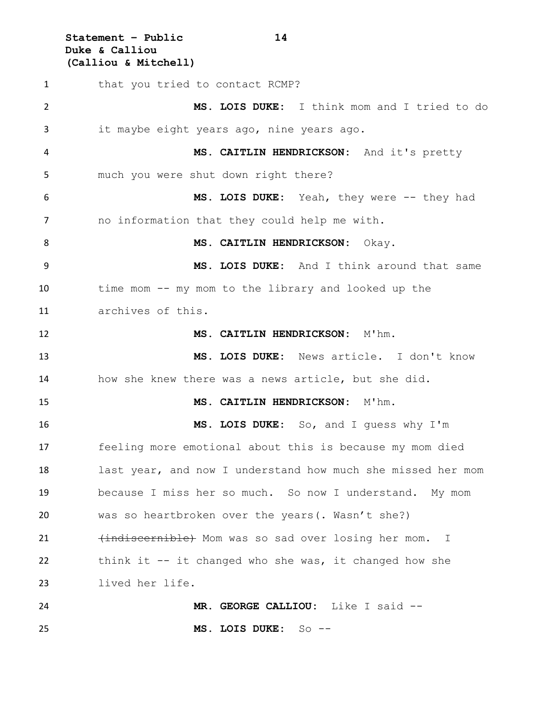**Statement – Public 14 Duke & Calliou (Calliou & Mitchell)**

1 that you tried to contact RCMP? **MS. LOIS DUKE:** I think mom and I tried to do it maybe eight years ago, nine years ago. **MS. CAITLIN HENDRICKSON:** And it's pretty much you were shut down right there? **MS. LOIS DUKE:** Yeah, they were -- they had no information that they could help me with. 8 MS. CAITLIN HENDRICKSON: Okay. **MS. LOIS DUKE:** And I think around that same time mom -- my mom to the library and looked up the archives of this. **MS. CAITLIN HENDRICKSON:** M'hm. **MS. LOIS DUKE:** News article. I don't know how she knew there was a news article, but she did. **MS. CAITLIN HENDRICKSON:** M'hm. **MS. LOIS DUKE:** So, and I guess why I'm feeling more emotional about this is because my mom died last year, and now I understand how much she missed her mom because I miss her so much. So now I understand. My mom was so heartbroken over the years(. Wasn't she?) 21 (indiscernible) Mom was so sad over losing her mom. I think it  $-$  it changed who she was, it changed how she lived her life. **MR. GEORGE CALLIOU:** Like I said -- **MS. LOIS DUKE:** So --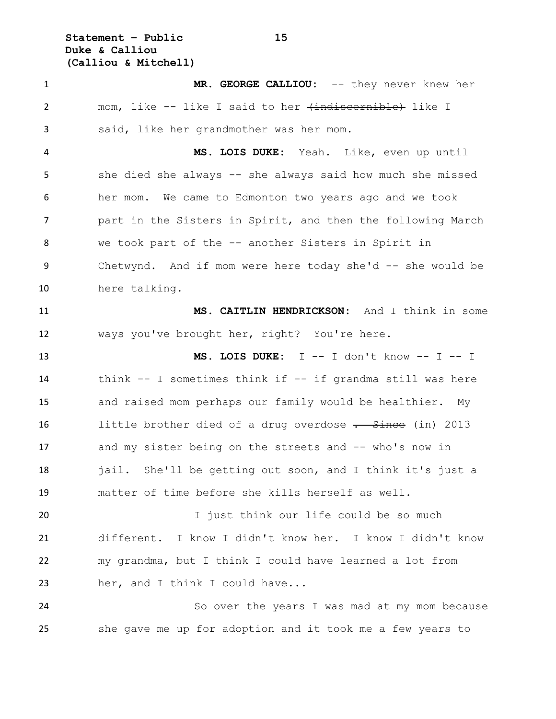**Statement – Public 15 Duke & Calliou (Calliou & Mitchell)**

 **MR. GEORGE CALLIOU:** -- they never knew her 2 mom, like -- like I said to her <del>(indiscernible)</del> like I said, like her grandmother was her mom.

 **MS. LOIS DUKE:** Yeah. Like, even up until she died she always -- she always said how much she missed her mom. We came to Edmonton two years ago and we took part in the Sisters in Spirit, and then the following March we took part of the -- another Sisters in Spirit in 9 Chetwynd. And if mom were here today she'd -- she would be here talking.

 **MS. CAITLIN HENDRICKSON:** And I think in some ways you've brought her, right? You're here.

 **MS. LOIS DUKE:** I -- I don't know -- I -- I think -- I sometimes think if -- if grandma still was here and raised mom perhaps our family would be healthier. My 16 little brother died of a drug overdose . Since (in) 2013 and my sister being on the streets and -- who's now in 18 jail. She'll be getting out soon, and I think it's just a matter of time before she kills herself as well.

 I just think our life could be so much different. I know I didn't know her. I know I didn't know my grandma, but I think I could have learned a lot from her, and I think I could have...

 So over the years I was mad at my mom because she gave me up for adoption and it took me a few years to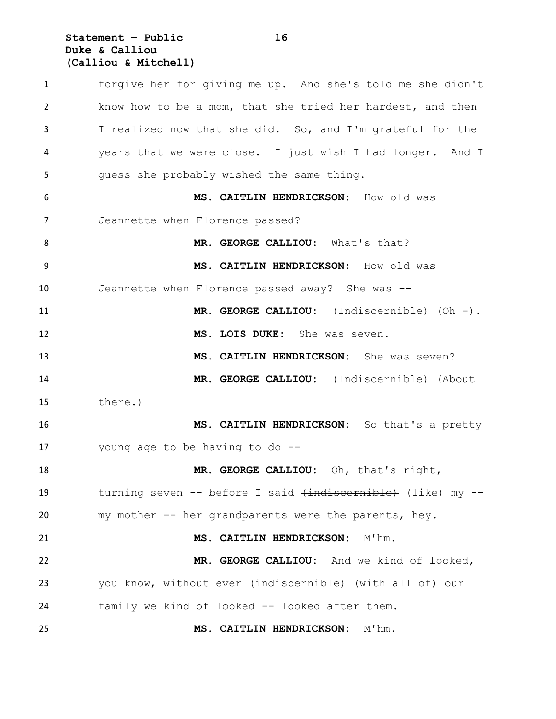## **Statement – Public 16 Duke & Calliou (Calliou & Mitchell)**

 forgive her for giving me up. And she's told me she didn't know how to be a mom, that she tried her hardest, and then I realized now that she did. So, and I'm grateful for the years that we were close. I just wish I had longer. And I guess she probably wished the same thing. **MS. CAITLIN HENDRICKSON:** How old was Jeannette when Florence passed? 8 MR. GEORGE CALLIOU: What's that? **MS. CAITLIN HENDRICKSON:** How old was Jeannette when Florence passed away? She was -- **MR. GEORGE CALLIOU:**  $\overline{H}$  (Oh -). **MS. LOIS DUKE:** She was seven. **MS. CAITLIN HENDRICKSON:** She was seven? 14 MR. GEORGE CALLIOU: <del>(Indiscernible)</del> (About there.) **MS. CAITLIN HENDRICKSON:** So that's a pretty young age to be having to do -- **MR. GEORGE CALLIOU:** Oh, that's right, 19 turning seven -- before I said (indiscernible) (like) my -- my mother -- her grandparents were the parents, hey. **MS. CAITLIN HENDRICKSON:** M'hm. **MR. GEORGE CALLIOU:** And we kind of looked, 23 you know, without ever (indiscernible) (with all of) our family we kind of looked -- looked after them. **MS. CAITLIN HENDRICKSON:** M'hm.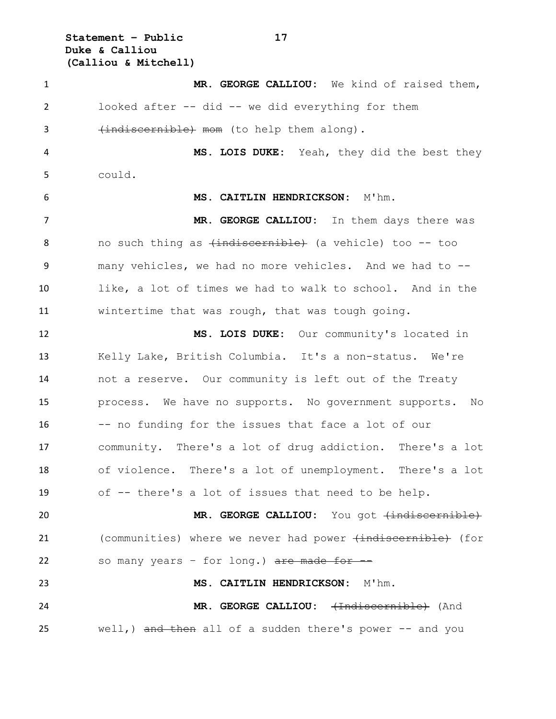**Statement – Public 17 Duke & Calliou (Calliou & Mitchell)**

 **MR. GEORGE CALLIOU:** We kind of raised them, looked after -- did -- we did everything for them 3 (indiscernible) mom (to help them along). **MS. LOIS DUKE:** Yeah, they did the best they could. **MS. CAITLIN HENDRICKSON:** M'hm. 7 MR. GEORGE CALLIOU: In them days there was 8 no such thing as  $\{\text{indiscernible}\}$  (a vehicle) too -- too many vehicles, we had no more vehicles. And we had to -- like, a lot of times we had to walk to school. And in the wintertime that was rough, that was tough going. **MS. LOIS DUKE:** Our community's located in Kelly Lake, British Columbia. It's a non-status. We're not a reserve. Our community is left out of the Treaty process. We have no supports. No government supports. No -- no funding for the issues that face a lot of our community. There's a lot of drug addiction. There's a lot of violence. There's a lot of unemployment. There's a lot of -- there's a lot of issues that need to be help. **MR. GEORGE CALLIOU:** You got <del>(indiscernible)</del> 21 (communities) where we never had power (indiscernible) (for 22 so many years  $-$  for long.)  $\frac{1}{x}$  are made for  $-$  **MS. CAITLIN HENDRICKSON:** M'hm. **MR. GEORGE CALLIOU:** (Indiscernible) (And 25 well, and then all of a sudden there's power -- and you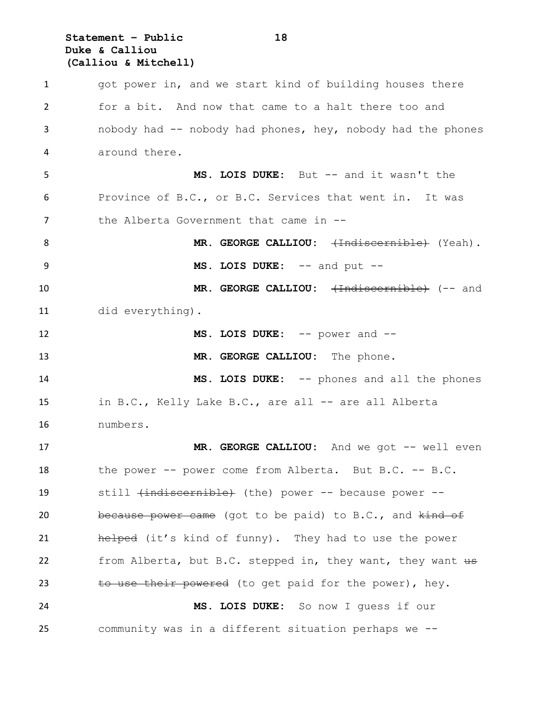#### **Statement – Public 18 Duke & Calliou (Calliou & Mitchell)**

1 got power in, and we start kind of building houses there for a bit. And now that came to a halt there too and nobody had -- nobody had phones, hey, nobody had the phones around there. **MS. LOIS DUKE:** But -- and it wasn't the Province of B.C., or B.C. Services that went in. It was 7 the Alberta Government that came in --8 MR. GEORGE CALLIOU:  $\leftarrow$ Indiscernible (Yeah). **MS. LOIS DUKE:** -- and put -- **MR. GEORGE CALLIOU:** (Indiscernible) (-- and did everything). **MS. LOIS DUKE:** -- power and -- **MR. GEORGE CALLIOU:** The phone. **MS. LOIS DUKE:** -- phones and all the phones in B.C., Kelly Lake B.C., are all -- are all Alberta numbers. 17 MR. GEORGE CALLIOU: And we got -- well even the power -- power come from Alberta. But B.C. -- B.C. still (indiscernible) (the) power -- because power -- 20 because power came (got to be paid) to B.C., and kind of **helped** (it's kind of funny). They had to use the power 22 from Alberta, but B.C. stepped in, they want, they want us 23 to use their powered (to get paid for the power), hey. **MS. LOIS DUKE:** So now I guess if our community was in a different situation perhaps we --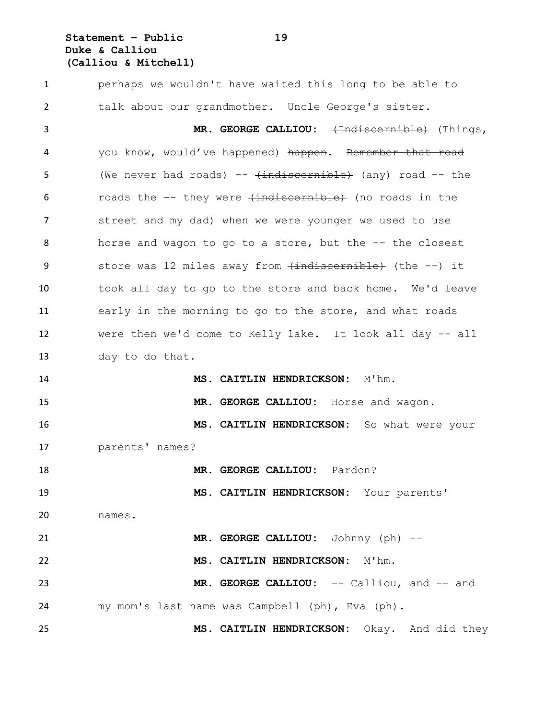**Statement – Public 19 Duke & Calliou (Calliou & Mitchell)**

 perhaps we wouldn't have waited this long to be able to talk about our grandmother. Uncle George's sister. 3 MR. GEORGE CALLIOU:  $\leftarrow$ Indiscernible) (Things, 4 you know, would've happened) happen. Remember that road 5 (We never had roads) --  $\{\text{indiscernible}\}$  (any) road -- the 6 roads the -- they were (indiscernible) (no roads in the 7 street and my dad) when we were younger we used to use horse and wagon to go to a store, but the -- the closest 9 store was 12 miles away from  $\overline{t}$  indiscernible) (the --) it took all day to go to the store and back home. We'd leave early in the morning to go to the store, and what roads were then we'd come to Kelly lake. It look all day -- all day to do that. **MS. CAITLIN HENDRICKSON:** M'hm. **MR. GEORGE CALLIOU:** Horse and wagon. **MS. CAITLIN HENDRICKSON:** So what were your parents' names? **MR. GEORGE CALLIOU:** Pardon? **MS. CAITLIN HENDRICKSON:** Your parents' names. **MR. GEORGE CALLIOU:** Johnny (ph) -- **MS. CAITLIN HENDRICKSON:** M'hm. **MR. GEORGE CALLIOU:** -- Calliou, and -- and my mom's last name was Campbell (ph), Eva (ph). **MS. CAITLIN HENDRICKSON:** Okay. And did they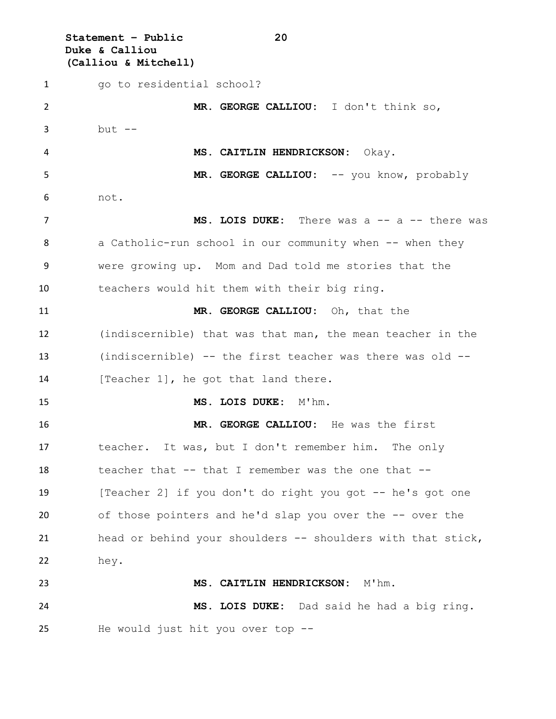**Statement – Public 20 Duke & Calliou (Calliou & Mitchell)** 1 go to residential school? **MR. GEORGE CALLIOU:** I don't think so, but -- **MS. CAITLIN HENDRICKSON:** Okay. 5 MR. GEORGE CALLIOU: -- you know, probably not. 7 MS. LOIS DUKE: There was a -- a -- there was 8 a Catholic-run school in our community when -- when they were growing up. Mom and Dad told me stories that the teachers would hit them with their big ring. **MR. GEORGE CALLIOU:** Oh, that the (indiscernible) that was that man, the mean teacher in the (indiscernible) -- the first teacher was there was old -- 14 [Teacher 1], he got that land there. **MS. LOIS DUKE:** M'hm. **MR. GEORGE CALLIOU:** He was the first teacher. It was, but I don't remember him. The only 18 teacher that -- that I remember was the one that -- [Teacher 2] if you don't do right you got -- he's got one of those pointers and he'd slap you over the -- over the head or behind your shoulders -- shoulders with that stick, hey. **MS. CAITLIN HENDRICKSON:** M'hm. **MS. LOIS DUKE:** Dad said he had a big ring. He would just hit you over top --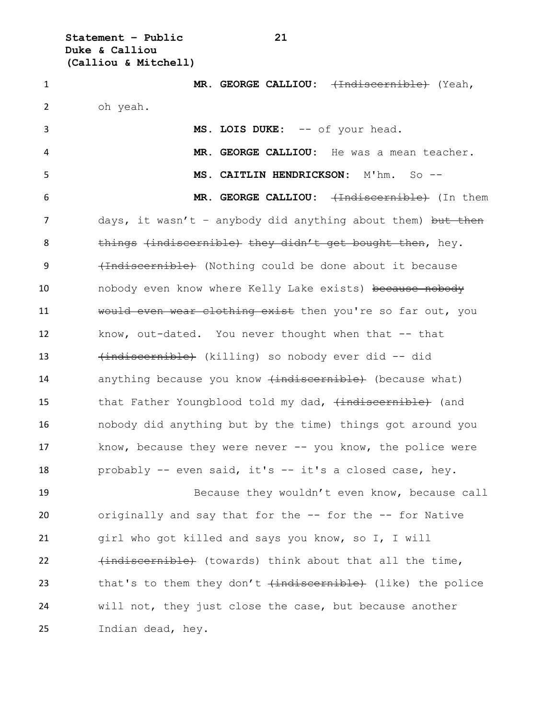**Statement – Public 21 Duke & Calliou (Calliou & Mitchell)**

1 **MR. GEORGE CALLIOU:** (Indiscernible) (Yeah, 2 oh yeah. 3 MS. LOIS DUKE: -- of your head. 4 **MR. GEORGE CALLIOU:** He was a mean teacher. 5 **MS. CAITLIN HENDRICKSON:** M'hm. So -- 6 **MR. GEORGE CALLIOU:**  $\leftarrow$  The set of them 7 days, it wasn't - anybody did anything about them) but then 8 things (indiscernible) they didn't get bought then, hey. 9 (Indiscernible) (Nothing could be done about it because 10 **nobody even know where Kelly Lake exists**) because nobody 11 would even wear clothing exist then you're so far out, you 12 know, out-dated. You never thought when that -- that 13 (indiscernible) (killing) so nobody ever did -- did 14 anything because you know  $\overline{t}$  and  $\overline{t}$  (because what) 15 that Father Youngblood told my dad,  $\{indiscernible\}$  (and 16 nobody did anything but by the time) things got around you 17 know, because they were never -- you know, the police were 18 probably -- even said, it's -- it's a closed case, hey. 19 Because they wouldn't even know, because call 20 originally and say that for the -- for the -- for Native 21 girl who got killed and says you know, so I, I will 22 (indiscernible) (towards) think about that all the time,

23 that's to them they don't  $\overline{t}$  (like) the police 24 will not, they just close the case, but because another 25 Indian dead, hey.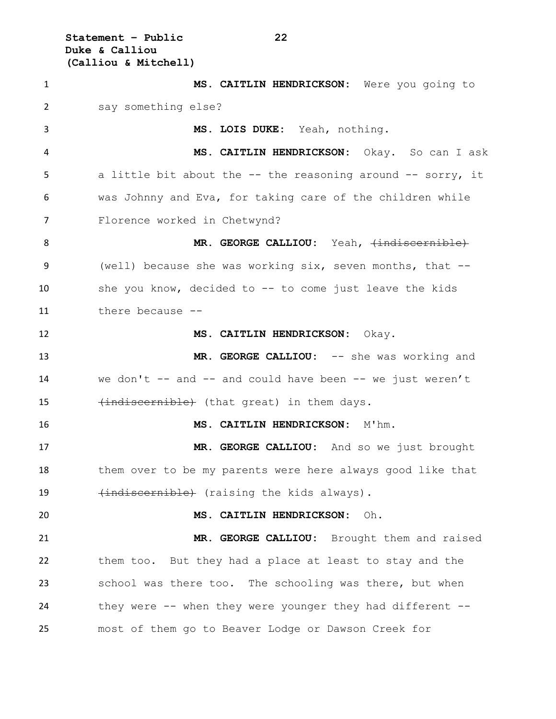**Statement – Public 22 Duke & Calliou (Calliou & Mitchell)**

 **MS. CAITLIN HENDRICKSON:** Were you going to say something else? **MS. LOIS DUKE:** Yeah, nothing. **MS. CAITLIN HENDRICKSON:** Okay. So can I ask a little bit about the -- the reasoning around -- sorry, it was Johnny and Eva, for taking care of the children while Florence worked in Chetwynd? 8 MR. GEORGE CALLIOU: Yeah,  $\{indiscernible\}$  (well) because she was working six, seven months, that -- she you know, decided to -- to come just leave the kids there because -- **MS. CAITLIN HENDRICKSON:** Okay. **MR. GEORGE CALLIOU:** -- she was working and 14 we don't -- and -- and could have been -- we just weren't 15 (indiscernible) (that great) in them days. **MS. CAITLIN HENDRICKSON:** M'hm. **MR. GEORGE CALLIOU:** And so we just brought them over to be my parents were here always good like that 19 (indiscernible) (raising the kids always). **MS. CAITLIN HENDRICKSON:** Oh. **MR. GEORGE CALLIOU:** Brought them and raised them too. But they had a place at least to stay and the school was there too. The schooling was there, but when they were -- when they were younger they had different -- most of them go to Beaver Lodge or Dawson Creek for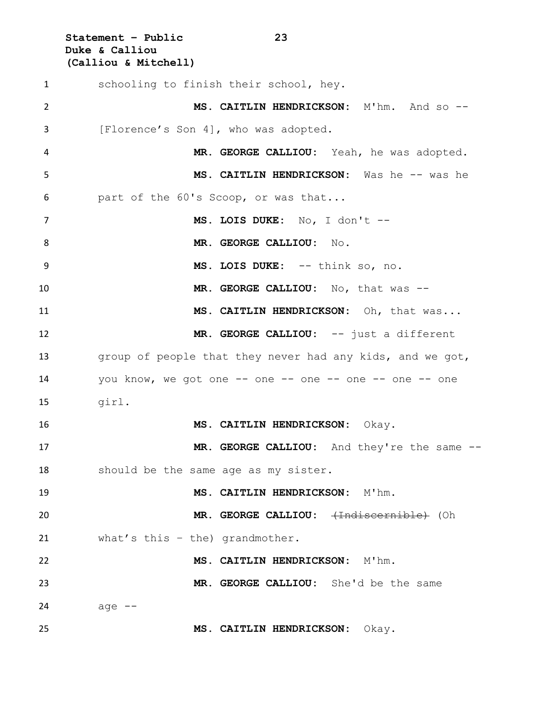**Statement – Public 23 Duke & Calliou (Calliou & Mitchell)** schooling to finish their school, hey. **MS. CAITLIN HENDRICKSON:** M'hm. And so -- [Florence's Son 4], who was adopted. **MR. GEORGE CALLIOU:** Yeah, he was adopted. **MS. CAITLIN HENDRICKSON:** Was he -- was he part of the 60's Scoop, or was that... **MS. LOIS DUKE:** No, I don't -- **MR. GEORGE CALLIOU:** No. **MS. LOIS DUKE:** -- think so, no. **MR. GEORGE CALLIOU:** No, that was -- **MS. CAITLIN HENDRICKSON:** Oh, that was... **MR. GEORGE CALLIOU:** -- just a different group of people that they never had any kids, and we got, 14 you know, we got one -- one -- one -- one -- one -- one girl. **MS. CAITLIN HENDRICKSON:** Okay. 17 MR. GEORGE CALLIOU: And they're the same -- should be the same age as my sister. **MS. CAITLIN HENDRICKSON:** M'hm. **MR. GEORGE CALLIOU:** (Indiscernible) (Oh what's this – the) grandmother. **MS. CAITLIN HENDRICKSON:** M'hm. **MR. GEORGE CALLIOU:** She'd be the same age  $-$ **MS. CAITLIN HENDRICKSON:** Okay.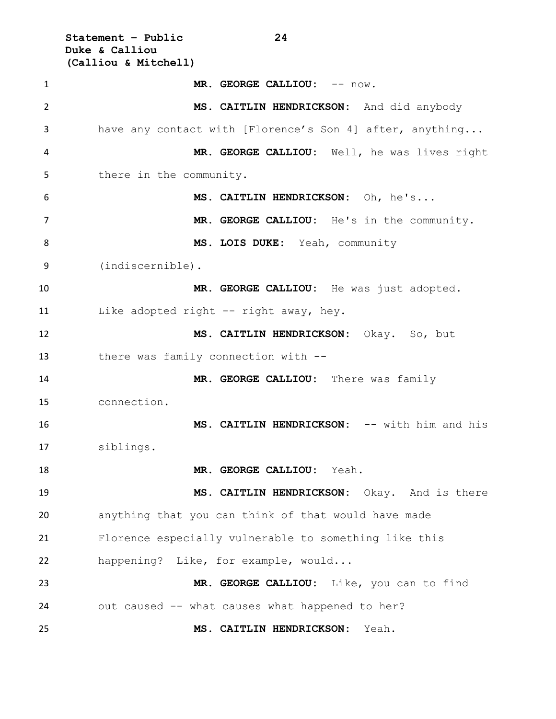**Statement – Public 24 Duke & Calliou (Calliou & Mitchell)** 1 MR. GEORGE CALLIOU:  $--$  now. **MS. CAITLIN HENDRICKSON:** And did anybody have any contact with [Florence's Son 4] after, anything... **MR. GEORGE CALLIOU:** Well, he was lives right there in the community. **MS. CAITLIN HENDRICKSON:** Oh, he's... 7 MR. GEORGE CALLIOU: He's in the community. **MS. LOIS DUKE:** Yeah, community (indiscernible). **MR. GEORGE CALLIOU:** He was just adopted. 11 Like adopted right -- right away, hey. **MS. CAITLIN HENDRICKSON:** Okay. So, but there was family connection with -- **MR. GEORGE CALLIOU:** There was family connection. **MS. CAITLIN HENDRICKSON:** -- with him and his siblings. **MR. GEORGE CALLIOU:** Yeah. **MS. CAITLIN HENDRICKSON:** Okay. And is there anything that you can think of that would have made Florence especially vulnerable to something like this happening? Like, for example, would... **MR. GEORGE CALLIOU:** Like, you can to find out caused -- what causes what happened to her? **MS. CAITLIN HENDRICKSON:** Yeah.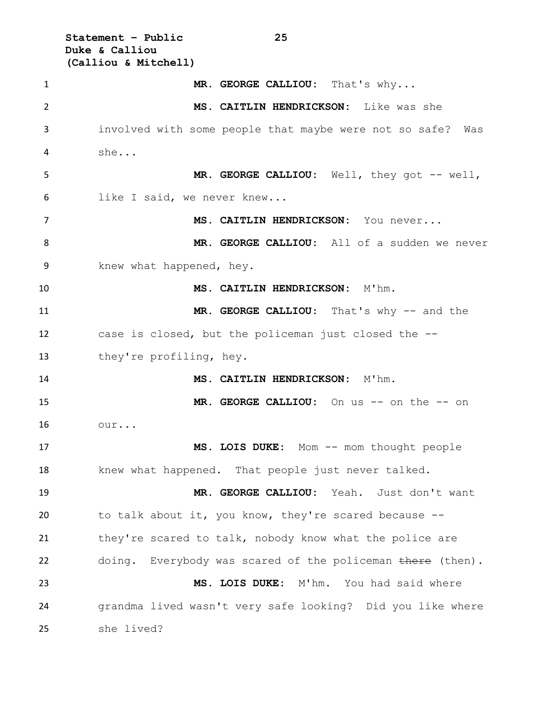**Statement – Public 25 Duke & Calliou (Calliou & Mitchell)** 1 MR. GEORGE CALLIOU: That's why... **MS. CAITLIN HENDRICKSON:** Like was she involved with some people that maybe were not so safe? Was she... **MR. GEORGE CALLIOU:** Well, they got -- well, like I said, we never knew... **MS. CAITLIN HENDRICKSON:** You never... **MR. GEORGE CALLIOU:** All of a sudden we never knew what happened, hey. **MS. CAITLIN HENDRICKSON:** M'hm. **MR. GEORGE CALLIOU:** That's why -- and the case is closed, but the policeman just closed the -- they're profiling, hey. **MS. CAITLIN HENDRICKSON:** M'hm. **MR. GEORGE CALLIOU:** On us -- on the -- on our... 17 MS. LOIS DUKE: Mom -- mom thought people 18 knew what happened. That people just never talked. **MR. GEORGE CALLIOU:** Yeah. Just don't want to talk about it, you know, they're scared because -- they're scared to talk, nobody know what the police are 22 doing. Everybody was scared of the policeman there (then). **MS. LOIS DUKE:** M'hm. You had said where grandma lived wasn't very safe looking? Did you like where she lived?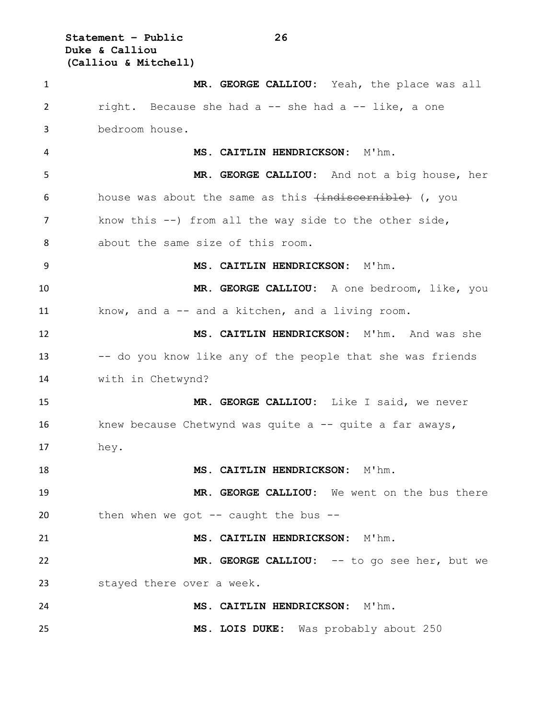**Statement – Public 26 Duke & Calliou (Calliou & Mitchell)**

 **MR. GEORGE CALLIOU:** Yeah, the place was all right. Because she had a -- she had a -- like, a one bedroom house. **MS. CAITLIN HENDRICKSON:** M'hm. **MR. GEORGE CALLIOU:** And not a big house, her 6 house was about the same as this  $\{\text{indiscernible}\}$  (, you know this --) from all the way side to the other side, about the same size of this room. **MS. CAITLIN HENDRICKSON:** M'hm. **MR. GEORGE CALLIOU:** A one bedroom, like, you know, and a -- and a kitchen, and a living room. **MS. CAITLIN HENDRICKSON:** M'hm. And was she -- do you know like any of the people that she was friends with in Chetwynd? **MR. GEORGE CALLIOU:** Like I said, we never 16 knew because Chetwynd was quite a -- quite a far aways, hey. **MS. CAITLIN HENDRICKSON:** M'hm. **MR. GEORGE CALLIOU:** We went on the bus there then when we got -- caught the bus -- **MS. CAITLIN HENDRICKSON:** M'hm. **MR. GEORGE CALLIOU:** -- to go see her, but we stayed there over a week. **MS. CAITLIN HENDRICKSON:** M'hm. **MS. LOIS DUKE:** Was probably about 250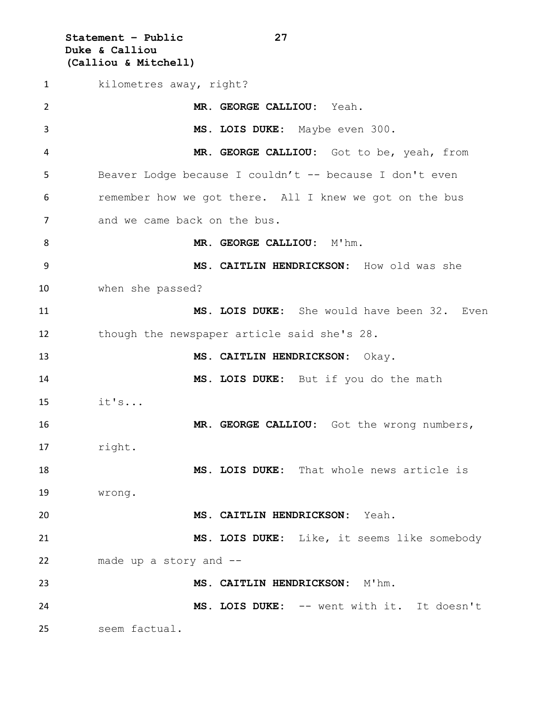**Statement – Public 27 Duke & Calliou (Calliou & Mitchell)**

1 kilometres away, right? **MR. GEORGE CALLIOU:** Yeah. **MS. LOIS DUKE:** Maybe even 300. **MR. GEORGE CALLIOU:** Got to be, yeah, from Beaver Lodge because I couldn't -- because I don't even remember how we got there. All I knew we got on the bus 7 and we came back on the bus. **MR. GEORGE CALLIOU:** M'hm. **MS. CAITLIN HENDRICKSON:** How old was she when she passed? **MS. LOIS DUKE:** She would have been 32. Even though the newspaper article said she's 28. **MS. CAITLIN HENDRICKSON:** Okay. **MS. LOIS DUKE:** But if you do the math it's... **MR. GEORGE CALLIOU:** Got the wrong numbers, right. **MS. LOIS DUKE:** That whole news article is wrong. **MS. CAITLIN HENDRICKSON:** Yeah. **MS. LOIS DUKE:** Like, it seems like somebody made up a story and -- **MS. CAITLIN HENDRICKSON:** M'hm. **MS. LOIS DUKE:** -- went with it. It doesn't seem factual.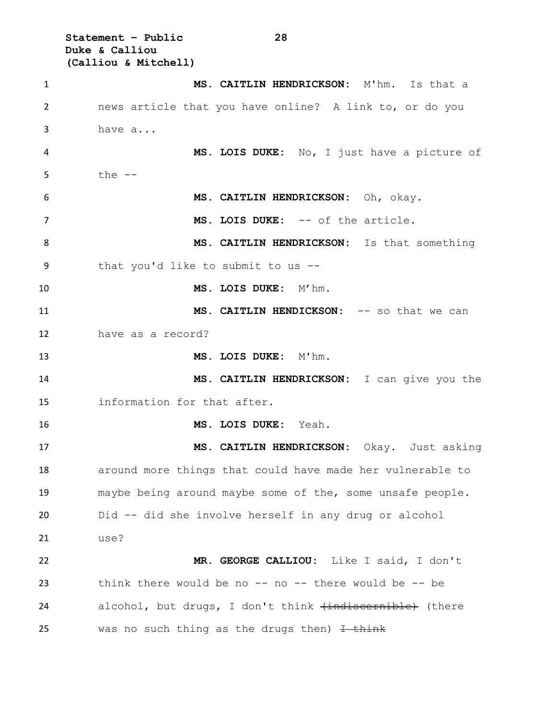**Statement – Public 28 Duke & Calliou (Calliou & Mitchell)**

 **MS. CAITLIN HENDRICKSON:** M'hm. Is that a news article that you have online? A link to, or do you have a... **MS. LOIS DUKE:** No, I just have a picture of the  $-$  **MS. CAITLIN HENDRICKSON:** Oh, okay. 7 MS. LOIS DUKE: -- of the article. **MS. CAITLIN HENDRICKSON:** Is that something that you'd like to submit to us -- **MS. LOIS DUKE:** M'hm. **MS. CAITLIN HENDICKSON:** -- so that we can have as a record? **MS. LOIS DUKE:** M'hm. **MS. CAITLIN HENDRICKSON:** I can give you the information for that after. **MS. LOIS DUKE:** Yeah. **MS. CAITLIN HENDRICKSON:** Okay. Just asking around more things that could have made her vulnerable to maybe being around maybe some of the, some unsafe people. Did -- did she involve herself in any drug or alcohol use? **MR. GEORGE CALLIOU:** Like I said, I don't think there would be no -- no -- there would be -- be 24 alcohol, but drugs, I don't think (indiscernible) (there 25 was no such thing as the drugs then)  $\overline{1 + \text{think}}$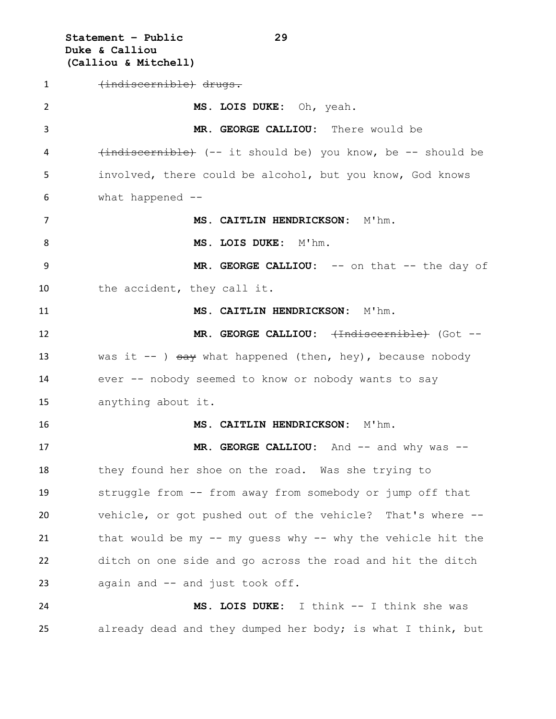**Statement – Public 29 Duke & Calliou (Calliou & Mitchell)**

 (indiscernible) drugs. **MS. LOIS DUKE:** Oh, yeah. **MR. GEORGE CALLIOU:** There would be (indiscernible) (-- it should be) you know, be -- should be involved, there could be alcohol, but you know, God knows what happened -- **MS. CAITLIN HENDRICKSON:** M'hm. 8 MS. LOIS DUKE: M'hm. **MR. GEORGE CALLIOU:** -- on that -- the day of the accident, they call it. **MS. CAITLIN HENDRICKSON:** M'hm. 12 MR. GEORGE CALLIOU:  $\leftarrow$ Indiscernible (Got --13 was it  $-$  )  $\frac{1}{3}$  what happened (then, hey), because nobody ever -- nobody seemed to know or nobody wants to say anything about it. **MS. CAITLIN HENDRICKSON:** M'hm. **MR. GEORGE CALLIOU:** And -- and why was -- 18 they found her shoe on the road. Was she trying to struggle from -- from away from somebody or jump off that vehicle, or got pushed out of the vehicle? That's where -- that would be my -- my guess why -- why the vehicle hit the ditch on one side and go across the road and hit the ditch again and -- and just took off. **MS. LOIS DUKE:** I think -- I think she was already dead and they dumped her body; is what I think, but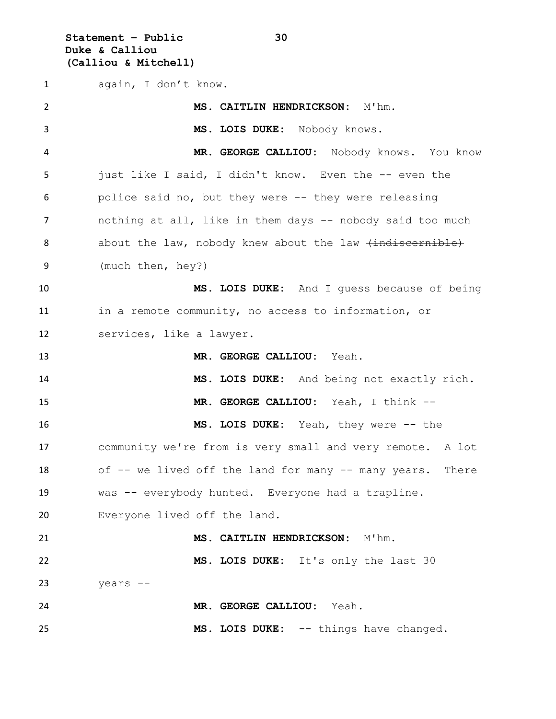**Statement – Public 30 Duke & Calliou (Calliou & Mitchell)**

 again, I don't know. **MS. CAITLIN HENDRICKSON:** M'hm. **MS. LOIS DUKE:** Nobody knows. **MR. GEORGE CALLIOU:** Nobody knows. You know just like I said, I didn't know. Even the -- even the police said no, but they were -- they were releasing 7 nothing at all, like in them days -- nobody said too much 8 about the law, nobody knew about the law  $\{\text{indiscernible}\}$  (much then, hey?) **MS. LOIS DUKE:** And I guess because of being in a remote community, no access to information, or services, like a lawyer. **MR. GEORGE CALLIOU:** Yeah. **MS. LOIS DUKE:** And being not exactly rich. **MR. GEORGE CALLIOU:** Yeah, I think -- **MS. LOIS DUKE:** Yeah, they were -- the community we're from is very small and very remote. A lot 18 of -- we lived off the land for many -- many years. There was -- everybody hunted. Everyone had a trapline. Everyone lived off the land. **MS. CAITLIN HENDRICKSON:** M'hm. **MS. LOIS DUKE:** It's only the last 30 years -- **MR. GEORGE CALLIOU:** Yeah. **MS. LOIS DUKE:** -- things have changed.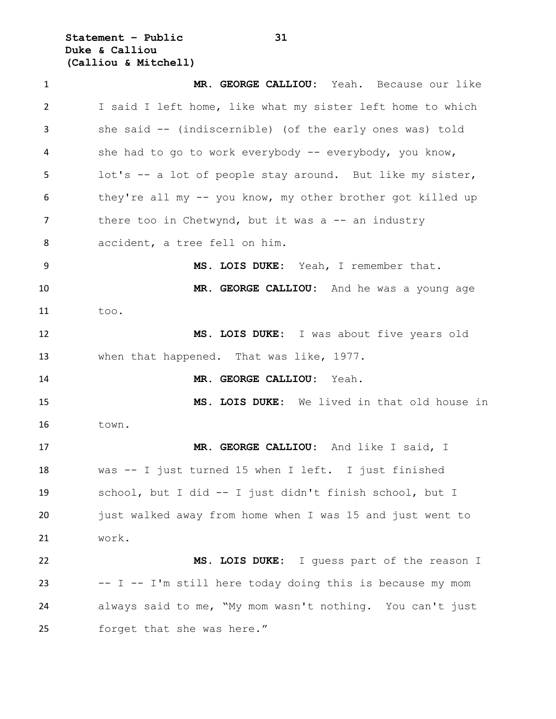**Statement – Public 31 Duke & Calliou (Calliou & Mitchell)**

 **MR. GEORGE CALLIOU:** Yeah. Because our like I said I left home, like what my sister left home to which she said -- (indiscernible) (of the early ones was) told 4 she had to go to work everybody -- everybody, you know, lot's -- a lot of people stay around. But like my sister, they're all my -- you know, my other brother got killed up 7 there too in Chetwynd, but it was a -- an industry accident, a tree fell on him. **MS. LOIS DUKE:** Yeah, I remember that. **MR. GEORGE CALLIOU:** And he was a young age too. **MS. LOIS DUKE:** I was about five years old 13 when that happened. That was like, 1977. **MR. GEORGE CALLIOU:** Yeah. **MS. LOIS DUKE:** We lived in that old house in town. **MR. GEORGE CALLIOU:** And like I said, I was -- I just turned 15 when I left. I just finished school, but I did -- I just didn't finish school, but I just walked away from home when I was 15 and just went to work. **MS. LOIS DUKE:** I guess part of the reason I -- I -- I'm still here today doing this is because my mom always said to me, "My mom wasn't nothing. You can't just forget that she was here."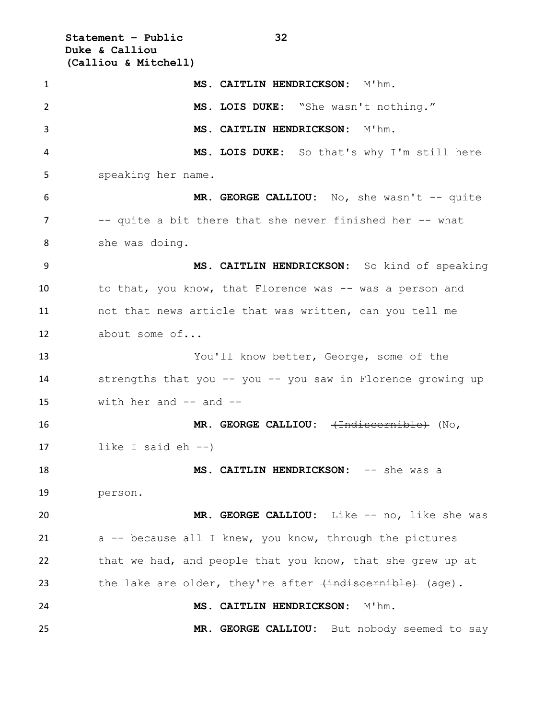**Statement – Public 32 Duke & Calliou (Calliou & Mitchell)**

| $\mathbf{1}$ | MS. CAITLIN HENDRICKSON: M'hm.                              |
|--------------|-------------------------------------------------------------|
| 2            | MS. LOIS DUKE: "She wasn't nothing."                        |
| 3            | MS. CAITLIN HENDRICKSON: M'hm.                              |
| 4            | MS. LOIS DUKE: So that's why I'm still here                 |
| 5            | speaking her name.                                          |
| 6            | MR. GEORGE CALLIOU: No, she wasn't -- quite                 |
| 7            | -- quite a bit there that she never finished her -- what    |
| 8            | she was doing.                                              |
| 9            | MS. CAITLIN HENDRICKSON: So kind of speaking                |
| 10           | to that, you know, that Florence was -- was a person and    |
| 11           | not that news article that was written, can you tell me     |
| 12           | about some of                                               |
| 13           | You'll know better, George, some of the                     |
| 14           | strengths that you -- you -- you saw in Florence growing up |
| 15           | with her and $--$ and $--$                                  |
| 16           | MR. GEORGE CALLIOU: (Indiscernible) (No,                    |
| 17           | like I said $eh$ $-$ )                                      |
| 18           | MS. CAITLIN HENDRICKSON: -- she was a                       |
| 19           | person.                                                     |
| 20           | MR. GEORGE CALLIOU: Like -- no, like she was                |
| 21           | a -- because all I knew, you know, through the pictures     |
| 22           | that we had, and people that you know, that she grew up at  |
| 23           | the lake are older, they're after (indiscernible) (age).    |
| 24           | MS. CAITLIN HENDRICKSON:<br>M'hm.                           |
| 25           | MR. GEORGE CALLIOU: But nobody seemed to say                |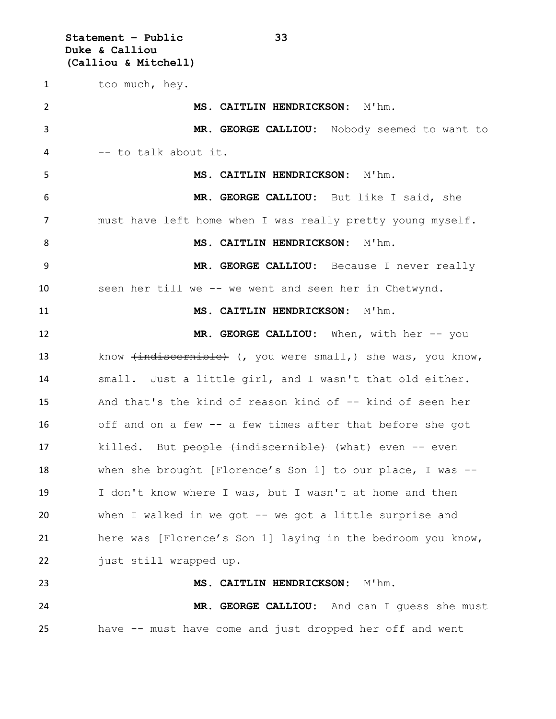**Statement – Public 33 Duke & Calliou (Calliou & Mitchell)**

1 too much, hey. **MS. CAITLIN HENDRICKSON:** M'hm. **MR. GEORGE CALLIOU:** Nobody seemed to want to -- to talk about it. **MS. CAITLIN HENDRICKSON:** M'hm. **MR. GEORGE CALLIOU:** But like I said, she must have left home when I was really pretty young myself. 8 MS. CAITLIN HENDRICKSON: M'hm. **MR. GEORGE CALLIOU:** Because I never really seen her till we -- we went and seen her in Chetwynd. 11 MS. CAITLIN HENDRICKSON: M'hm. **MR. GEORGE CALLIOU:** When, with her -- you 13 know (indiscernible) (, you were small, ) she was, you know, small. Just a little girl, and I wasn't that old either. And that's the kind of reason kind of -- kind of seen her off and on a few -- a few times after that before she got 17 killed. But people (indiscernible) (what) even -- even when she brought [Florence's Son 1] to our place, I was -- I don't know where I was, but I wasn't at home and then when I walked in we got -- we got a little surprise and here was [Florence's Son 1] laying in the bedroom you know, 22 just still wrapped up. **MS. CAITLIN HENDRICKSON:** M'hm. **MR. GEORGE CALLIOU:** And can I guess she must

have -- must have come and just dropped her off and went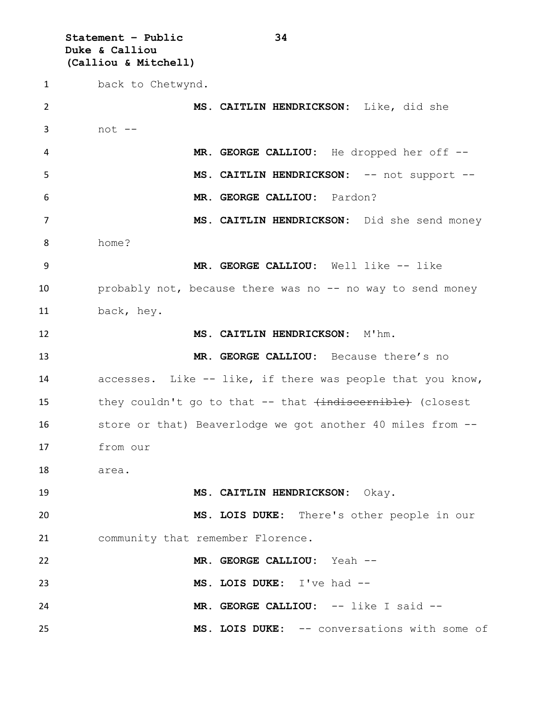**Statement – Public 34 Duke & Calliou (Calliou & Mitchell)**

 back to Chetwynd. **MS. CAITLIN HENDRICKSON:** Like, did she not -- **MR. GEORGE CALLIOU:** He dropped her off -- **MS. CAITLIN HENDRICKSON:** -- not support -- **MR. GEORGE CALLIOU:** Pardon? **MS. CAITLIN HENDRICKSON:** Did she send money home? **MR. GEORGE CALLIOU:** Well like -- like 10 probably not, because there was no -- no way to send money back, hey. **MS. CAITLIN HENDRICKSON:** M'hm. **MR. GEORGE CALLIOU:** Because there's no accesses. Like -- like, if there was people that you know, 15 they couldn't go to that -- that  $\overline{ }$  (closest the verticle) store or that) Beaverlodge we got another 40 miles from -- from our area. **MS. CAITLIN HENDRICKSON:** Okay. **MS. LOIS DUKE:** There's other people in our community that remember Florence. **MR. GEORGE CALLIOU:** Yeah -- **MS. LOIS DUKE:** I've had -- **MR. GEORGE CALLIOU:** -- like I said -- **MS. LOIS DUKE:** -- conversations with some of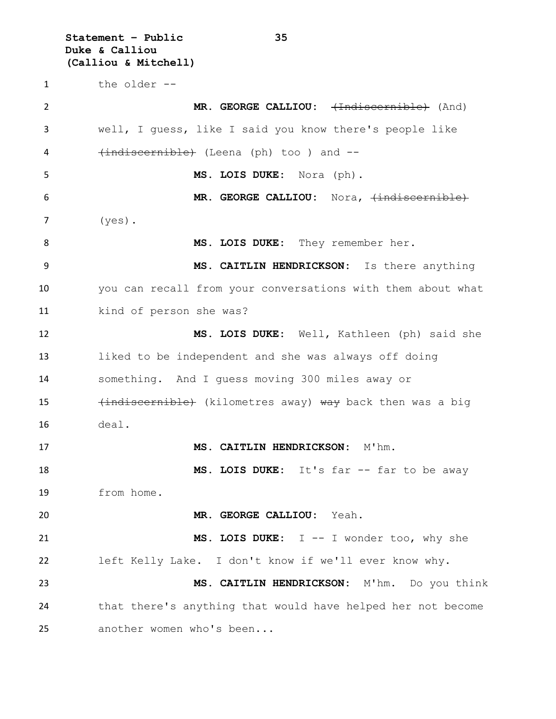**Statement – Public 35 Duke & Calliou (Calliou & Mitchell)** the older -- **MR. GEORGE CALLIOU:**  $\leftarrow$ **Hadiscernible**) (And) well, I guess, like I said you know there's people like 4 (indiscernible) (Leena (ph) too ) and -- **MS. LOIS DUKE:** Nora (ph). 6 MR. GEORGE CALLIOU: Nora,  $\{indiscernible\}$  (yes). 8 MS. LOIS DUKE: They remember her. **MS. CAITLIN HENDRICKSON:** Is there anything you can recall from your conversations with them about what kind of person she was? **MS. LOIS DUKE:** Well, Kathleen (ph) said she liked to be independent and she was always off doing something. And I guess moving 300 miles away or 15 (indiscernible) (kilometres away) way back then was a big deal. **MS. CAITLIN HENDRICKSON:** M'hm. 18 MS. LOIS DUKE: It's far -- far to be away from home. **MR. GEORGE CALLIOU:** Yeah. **MS. LOIS DUKE:** I -- I wonder too, why she left Kelly Lake. I don't know if we'll ever know why. **MS. CAITLIN HENDRICKSON:** M'hm. Do you think that there's anything that would have helped her not become another women who's been...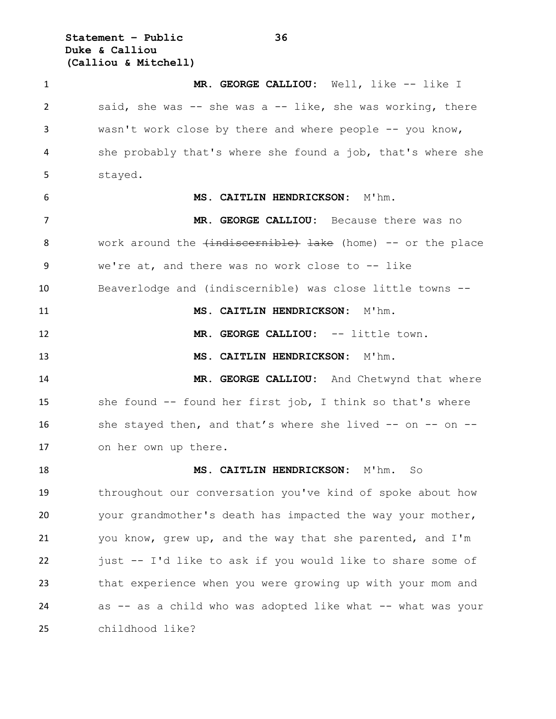**Statement – Public 36 Duke & Calliou (Calliou & Mitchell)**

 **MR. GEORGE CALLIOU:** Well, like -- like I said, she was -- she was a -- like, she was working, there wasn't work close by there and where people -- you know, she probably that's where she found a job, that's where she stayed. **MS. CAITLIN HENDRICKSON:** M'hm. **MR. GEORGE CALLIOU:** Because there was no 8 work around the  $\{\text{indiscernible}\}$  lake (home) -- or the place we're at, and there was no work close to -- like Beaverlodge and (indiscernible) was close little towns -- 11 MS. CAITLIN HENDRICKSON: M'hm. **MR. GEORGE CALLIOU:** -- little town. **MS. CAITLIN HENDRICKSON:** M'hm. 14 MR. GEORGE CALLIOU: And Chetwynd that where she found -- found her first job, I think so that's where 16 she stayed then, and that's where she lived -- on -- on -- on her own up there. **MS. CAITLIN HENDRICKSON:** M'hm. So throughout our conversation you've kind of spoke about how your grandmother's death has impacted the way your mother, you know, grew up, and the way that she parented, and I'm just -- I'd like to ask if you would like to share some of that experience when you were growing up with your mom and 24 as -- as a child who was adopted like what -- what was your childhood like?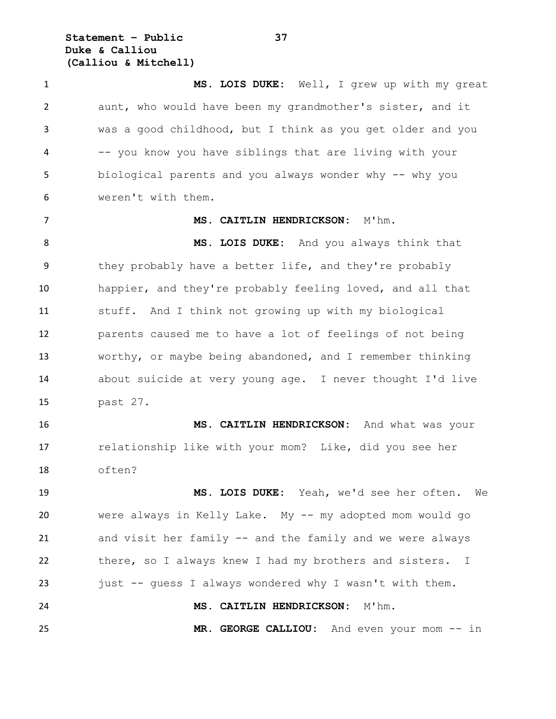**Statement – Public 37 Duke & Calliou (Calliou & Mitchell)**

 **MS. LOIS DUKE:** Well, I grew up with my great aunt, who would have been my grandmother's sister, and it was a good childhood, but I think as you get older and you -- you know you have siblings that are living with your 5 biological parents and you always wonder why -- why you weren't with them. **MS. CAITLIN HENDRICKSON:** M'hm. **MS. LOIS DUKE:** And you always think that they probably have a better life, and they're probably happier, and they're probably feeling loved, and all that stuff. And I think not growing up with my biological parents caused me to have a lot of feelings of not being worthy, or maybe being abandoned, and I remember thinking about suicide at very young age. I never thought I'd live past 27. **MS. CAITLIN HENDRICKSON:** And what was your relationship like with your mom? Like, did you see her often? **MS. LOIS DUKE:** Yeah, we'd see her often. We were always in Kelly Lake. My -- my adopted mom would go

 and visit her family -- and the family and we were always there, so I always knew I had my brothers and sisters. I just -- guess I always wondered why I wasn't with them. **MS. CAITLIN HENDRICKSON:** M'hm. **MR. GEORGE CALLIOU:** And even your mom -- in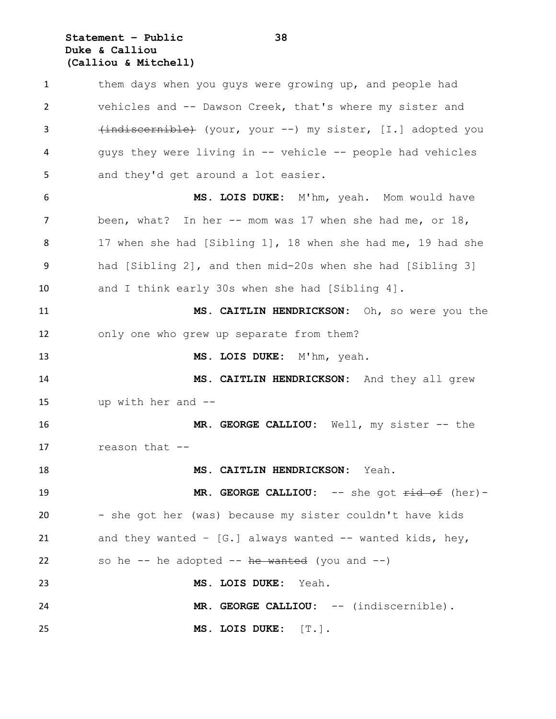#### **Statement – Public 38 Duke & Calliou (Calliou & Mitchell)**

 them days when you guys were growing up, and people had vehicles and -- Dawson Creek, that's where my sister and 3 (indiscernible) (your, your --) my sister, [I.] adopted you guys they were living in -- vehicle -- people had vehicles and they'd get around a lot easier. **MS. LOIS DUKE:** M'hm, yeah. Mom would have been, what? In her -- mom was 17 when she had me, or 18, 17 when she had [Sibling 1], 18 when she had me, 19 had she had [Sibling 2], and then mid-20s when she had [Sibling 3] and I think early 30s when she had [Sibling 4]. **MS. CAITLIN HENDRICKSON:** Oh, so were you the only one who grew up separate from them? **MS. LOIS DUKE:** M'hm, yeah. **MS. CAITLIN HENDRICKSON:** And they all grew up with her and -- **MR. GEORGE CALLIOU:** Well, my sister -- the reason that -- **MS. CAITLIN HENDRICKSON:** Yeah. **MR. GEORGE CALLIOU:** -- she got  $\overrightarrow{ \text{rid of }}$  (her)- - she got her (was) because my sister couldn't have kids and they wanted – [G.] always wanted -- wanted kids, hey, 22 so he  $-$  he adopted  $-$  he wanted (you and  $-$ ) **MS. LOIS DUKE:** Yeah. **MR. GEORGE CALLIOU:** -- (indiscernible). **MS. LOIS DUKE:** [T.].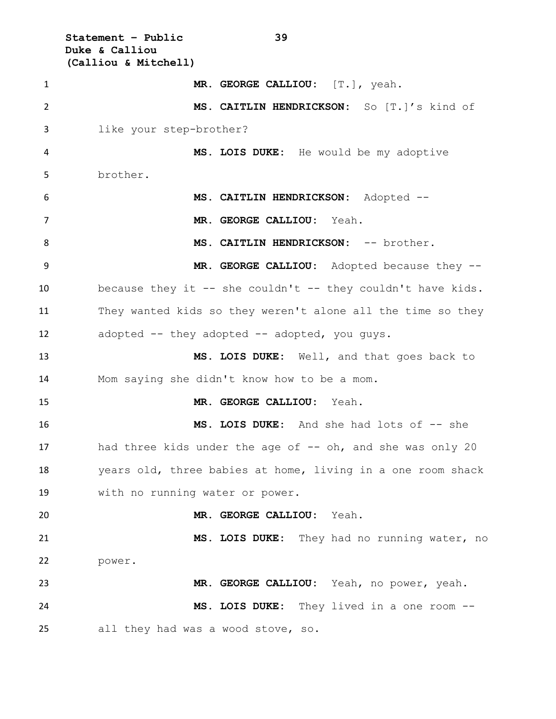**Statement – Public 39 Duke & Calliou (Calliou & Mitchell) MR. GEORGE CALLIOU:** [T.], yeah. **MS. CAITLIN HENDRICKSON:** So [T.]'s kind of like your step-brother? **MS. LOIS DUKE:** He would be my adoptive brother. **MS. CAITLIN HENDRICKSON:** Adopted -- **MR. GEORGE CALLIOU:** Yeah. 8 MS. CAITLIN HENDRICKSON: -- brother. **MR. GEORGE CALLIOU:** Adopted because they -- because they it -- she couldn't -- they couldn't have kids. They wanted kids so they weren't alone all the time so they adopted -- they adopted -- adopted, you guys. **MS. LOIS DUKE:** Well, and that goes back to Mom saying she didn't know how to be a mom. **MR. GEORGE CALLIOU:** Yeah. **MS. LOIS DUKE:** And she had lots of -- she 17 had three kids under the age of -- oh, and she was only 20 years old, three babies at home, living in a one room shack with no running water or power. **MR. GEORGE CALLIOU:** Yeah. **MS. LOIS DUKE:** They had no running water, no power. **MR. GEORGE CALLIOU:** Yeah, no power, yeah. **MS. LOIS DUKE:** They lived in a one room -- all they had was a wood stove, so.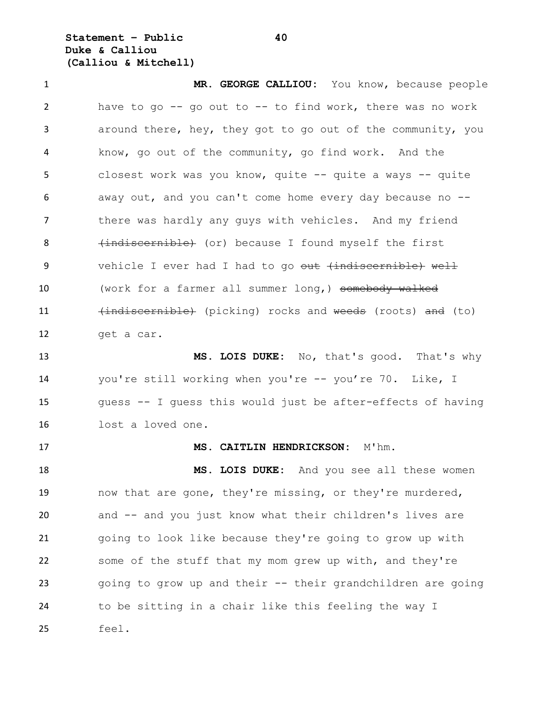**Statement – Public 40 Duke & Calliou (Calliou & Mitchell)**

 **MR. GEORGE CALLIOU:** You know, because people have to go -- go out to -- to find work, there was no work around there, hey, they got to go out of the community, you know, go out of the community, go find work. And the closest work was you know, quite -- quite a ways -- quite away out, and you can't come home every day because no -- 7 there was hardly any guys with vehicles. And my friend 8 (indiscernible) (or) because I found myself the first 9 vehicle I ever had I had to go out (indiscernible) well 10 (work for a farmer all summer long,) somebody walked 11 (indiscernible) (picking) rocks and weeds (roots) and (to) get a car. **MS. LOIS DUKE:** No, that's good. That's why

 you're still working when you're -- you're 70. Like, I guess -- I guess this would just be after-effects of having lost a loved one.

#### **MS. CAITLIN HENDRICKSON:** M'hm.

 **MS. LOIS DUKE:** And you see all these women now that are gone, they're missing, or they're murdered, and -- and you just know what their children's lives are going to look like because they're going to grow up with some of the stuff that my mom grew up with, and they're going to grow up and their -- their grandchildren are going to be sitting in a chair like this feeling the way I feel.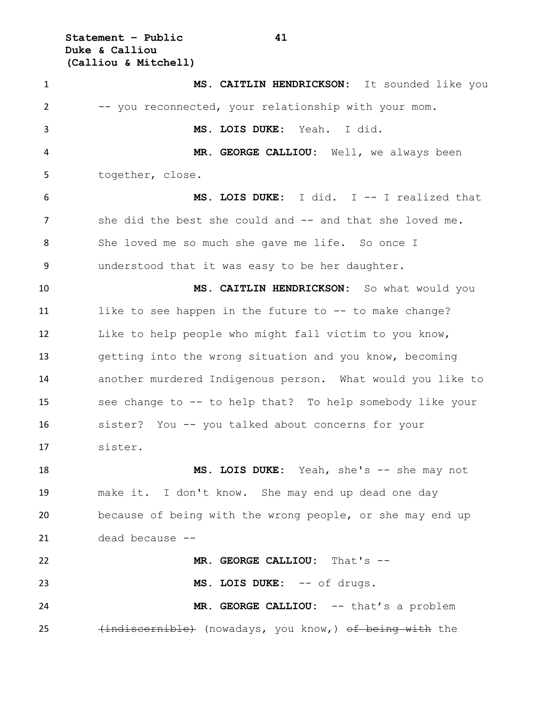**Statement – Public 41 Duke & Calliou (Calliou & Mitchell)**

 **MS. CAITLIN HENDRICKSON:** It sounded like you -- you reconnected, your relationship with your mom. **MS. LOIS DUKE:** Yeah. I did. **MR. GEORGE CALLIOU:** Well, we always been together, close. **MS. LOIS DUKE:** I did. I -- I realized that 7 she did the best she could and -- and that she loved me. She loved me so much she gave me life. So once I understood that it was easy to be her daughter. **MS. CAITLIN HENDRICKSON:** So what would you 11 like to see happen in the future to -- to make change? Like to help people who might fall victim to you know, getting into the wrong situation and you know, becoming another murdered Indigenous person. What would you like to see change to -- to help that? To help somebody like your sister? You -- you talked about concerns for your sister. **MS. LOIS DUKE:** Yeah, she's -- she may not make it. I don't know. She may end up dead one day because of being with the wrong people, or she may end up dead because -- **MR. GEORGE CALLIOU:** That's -- **MS. LOIS DUKE:** -- of drugs. **MR. GEORGE CALLIOU:** -- that's a problem 25 (indiscernible) (nowadays, you know,) of being with the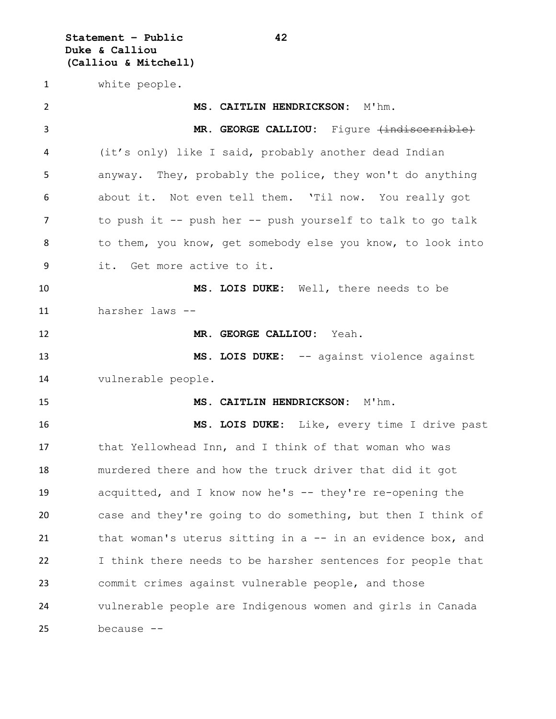**Statement – Public 42 Duke & Calliou (Calliou & Mitchell)**

white people.

 **MS. CAITLIN HENDRICKSON:** M'hm. 3 MR. GEORGE CALLIOU: Figure (indiscernible) (it's only) like I said, probably another dead Indian anyway. They, probably the police, they won't do anything about it. Not even tell them. 'Til now. You really got to push it -- push her -- push yourself to talk to go talk 8 to them, you know, get somebody else you know, to look into it. Get more active to it. **MS. LOIS DUKE:** Well, there needs to be harsher laws -- **MR. GEORGE CALLIOU:** Yeah. **MS. LOIS DUKE:** -- against violence against vulnerable people. **MS. CAITLIN HENDRICKSON:** M'hm. **MS. LOIS DUKE:** Like, every time I drive past that Yellowhead Inn, and I think of that woman who was murdered there and how the truck driver that did it got acquitted, and I know now he's -- they're re-opening the case and they're going to do something, but then I think of 21 that woman's uterus sitting in a -- in an evidence box, and I think there needs to be harsher sentences for people that commit crimes against vulnerable people, and those vulnerable people are Indigenous women and girls in Canada because --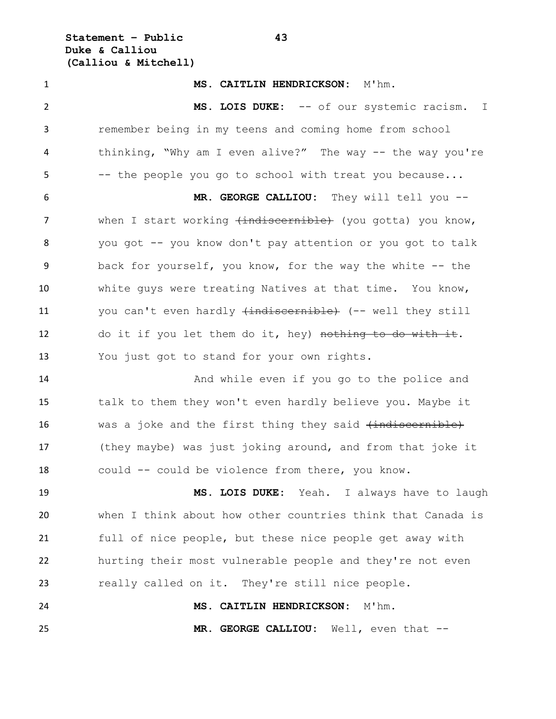**Statement – Public 43 Duke & Calliou (Calliou & Mitchell)**

 **MS. CAITLIN HENDRICKSON:** M'hm. **MS. LOIS DUKE:** -- of our systemic racism. I remember being in my teens and coming home from school 4 thinking, "Why am I even alive?" The way -- the way you're -- the people you go to school with treat you because... **MR. GEORGE CALLIOU:** They will tell you -- 7 when I start working (indiscernible) (you gotta) you know, you got -- you know don't pay attention or you got to talk back for yourself, you know, for the way the white -- the white guys were treating Natives at that time. You know, 11 you can't even hardly (indiscernible) (-- well they still 12 do it if you let them do it, hey) nothing to do with it. You just got to stand for your own rights. 14 And while even if you go to the police and talk to them they won't even hardly believe you. Maybe it 16 was a joke and the first thing they said (indiscernible) (they maybe) was just joking around, and from that joke it could -- could be violence from there, you know. **MS. LOIS DUKE:** Yeah. I always have to laugh when I think about how other countries think that Canada is full of nice people, but these nice people get away with hurting their most vulnerable people and they're not even really called on it. They're still nice people. **MS. CAITLIN HENDRICKSON:** M'hm. **MR. GEORGE CALLIOU:** Well, even that --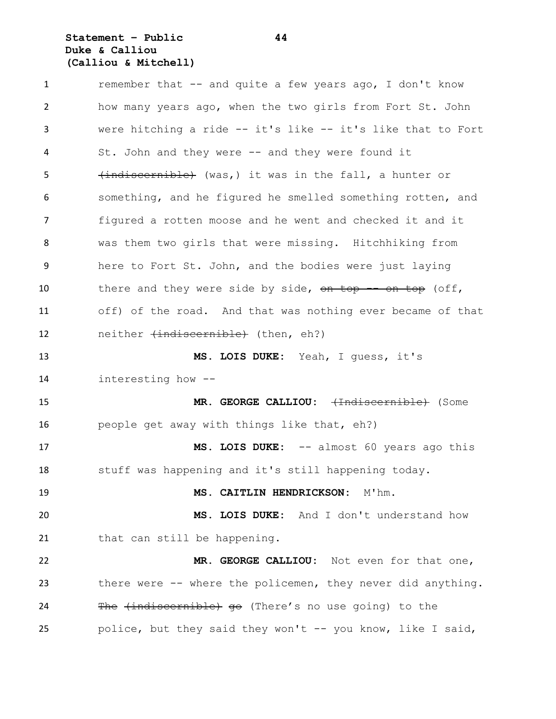## **Statement – Public 44 Duke & Calliou (Calliou & Mitchell)**

 remember that -- and quite a few years ago, I don't know how many years ago, when the two girls from Fort St. John were hitching a ride -- it's like -- it's like that to Fort 4 St. John and they were -- and they were found it 5 (indiscernible) (was, ) it was in the fall, a hunter or something, and he figured he smelled something rotten, and figured a rotten moose and he went and checked it and it was them two girls that were missing. Hitchhiking from here to Fort St. John, and the bodies were just laying 10 there and they were side by side, on top -- on top (off, off) of the road. And that was nothing ever became of that 12 neither (indiscernible) (then, eh?) **MS. LOIS DUKE:** Yeah, I guess, it's interesting how -- **MR. GEORGE CALLIOU:** (Indiscernible) (Some people get away with things like that, eh?) **MS. LOIS DUKE:** -- almost 60 years ago this stuff was happening and it's still happening today. **MS. CAITLIN HENDRICKSON:** M'hm. **MS. LOIS DUKE:** And I don't understand how 21 that can still be happening. **MR. GEORGE CALLIOU:** Not even for that one, 23 there were -- where the policemen, they never did anything. 24 The (indiscernible) go (There's no use going) to the police, but they said they won't -- you know, like I said,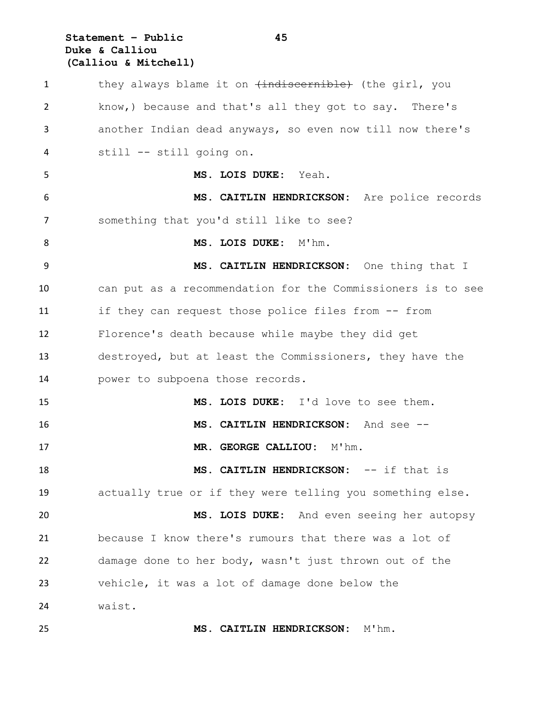# **Statement – Public 45 Duke & Calliou (Calliou & Mitchell)**

| $\mathbf{1}$   | they always blame it on $\{indiscernible\}$ (the girl, you  |
|----------------|-------------------------------------------------------------|
| $\overline{2}$ | know,) because and that's all they got to say. There's      |
| 3              | another Indian dead anyways, so even now till now there's   |
| 4              | still -- still going on.                                    |
| 5              | MS. LOIS DUKE: Yeah.                                        |
| 6              | MS. CAITLIN HENDRICKSON: Are police records                 |
| 7              | something that you'd still like to see?                     |
| 8              | MS. LOIS DUKE: M'hm.                                        |
| 9              | MS. CAITLIN HENDRICKSON: One thing that I                   |
| 10             | can put as a recommendation for the Commissioners is to see |
| 11             | if they can request those police files from -- from         |
| 12             | Florence's death because while maybe they did get           |
| 13             | destroyed, but at least the Commissioners, they have the    |
| 14             | power to subpoena those records.                            |
| 15             | MS. LOIS DUKE: I'd love to see them.                        |
| 16             | MS. CAITLIN HENDRICKSON: And see --                         |
| 17             | MR. GEORGE CALLIOU: M'hm.                                   |
| 18             | MS. CAITLIN HENDRICKSON: -- if that is                      |
| 19             | actually true or if they were telling you something else.   |
| 20             | MS. LOIS DUKE: And even seeing her autopsy                  |
| 21             | because I know there's rumours that there was a lot of      |
| 22             | damage done to her body, wasn't just thrown out of the      |
| 23             | vehicle, it was a lot of damage done below the              |
| 24             | waist.                                                      |
| 25             | MS. CAITLIN HENDRICKSON: M'hm.                              |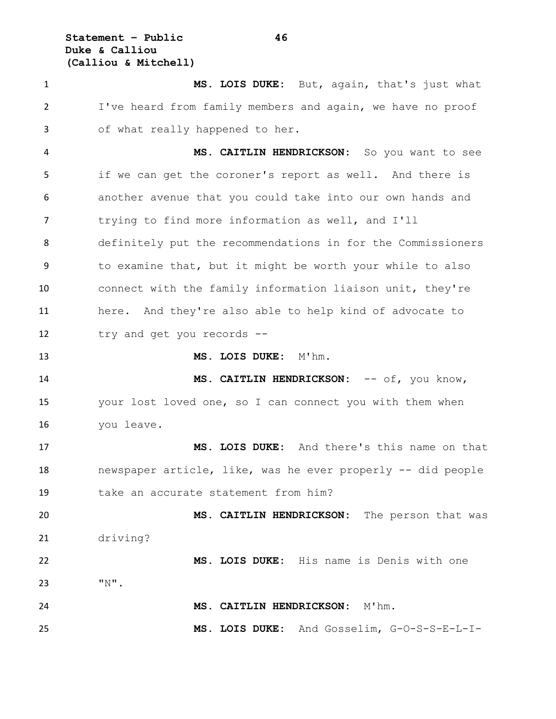**Statement – Public 46 Duke & Calliou (Calliou & Mitchell)**

 **MS. LOIS DUKE:** But, again, that's just what I've heard from family members and again, we have no proof of what really happened to her.

 **MS. CAITLIN HENDRICKSON:** So you want to see if we can get the coroner's report as well. And there is another avenue that you could take into our own hands and 7 trying to find more information as well, and I'll definitely put the recommendations in for the Commissioners to examine that, but it might be worth your while to also connect with the family information liaison unit, they're here. And they're also able to help kind of advocate to try and get you records --

**MS. LOIS DUKE:** M'hm.

14 MS. CAITLIN HENDRICKSON:  $--$  of, you know, your lost loved one, so I can connect you with them when you leave.

 **MS. LOIS DUKE:** And there's this name on that newspaper article, like, was he ever properly -- did people take an accurate statement from him?

 **MS. CAITLIN HENDRICKSON:** The person that was driving?

 **MS. LOIS DUKE:** His name is Denis with one "N". **MS. CAITLIN HENDRICKSON:** M'hm. **MS. LOIS DUKE:** And Gosselim, G-O-S-S-E-L-I-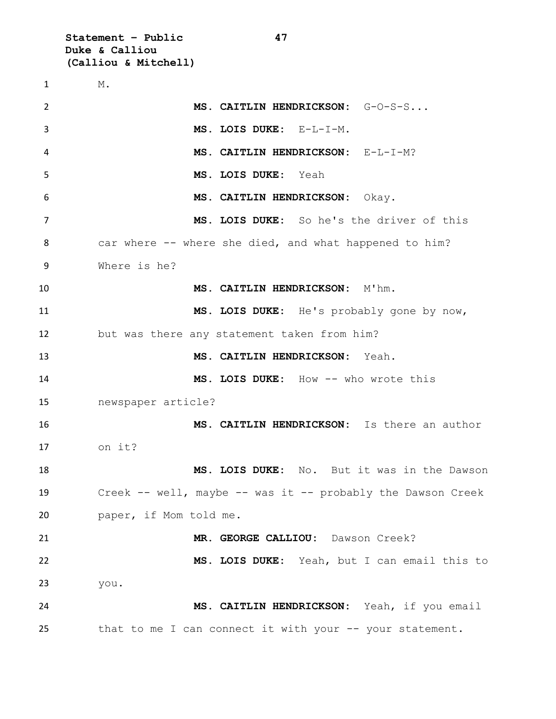**Statement – Public 47 Duke & Calliou (Calliou & Mitchell)**

 M. **MS. CAITLIN HENDRICKSON:** G-O-S-S... **MS. LOIS DUKE:** E-L-I-M. **MS. CAITLIN HENDRICKSON:** E-L-I-M? **MS. LOIS DUKE:** Yeah **MS. CAITLIN HENDRICKSON:** Okay. **MS. LOIS DUKE:** So he's the driver of this 8 car where -- where she died, and what happened to him? Where is he? **MS. CAITLIN HENDRICKSON:** M'hm. **MS. LOIS DUKE:** He's probably gone by now, but was there any statement taken from him? **MS. CAITLIN HENDRICKSON:** Yeah. **MS. LOIS DUKE:** How -- who wrote this newspaper article? **MS. CAITLIN HENDRICKSON:** Is there an author on it? **MS. LOIS DUKE:** No. But it was in the Dawson Creek -- well, maybe -- was it -- probably the Dawson Creek paper, if Mom told me. **MR. GEORGE CALLIOU:** Dawson Creek? **MS. LOIS DUKE:** Yeah, but I can email this to you. **MS. CAITLIN HENDRICKSON:** Yeah, if you email 25 that to me I can connect it with your -- your statement.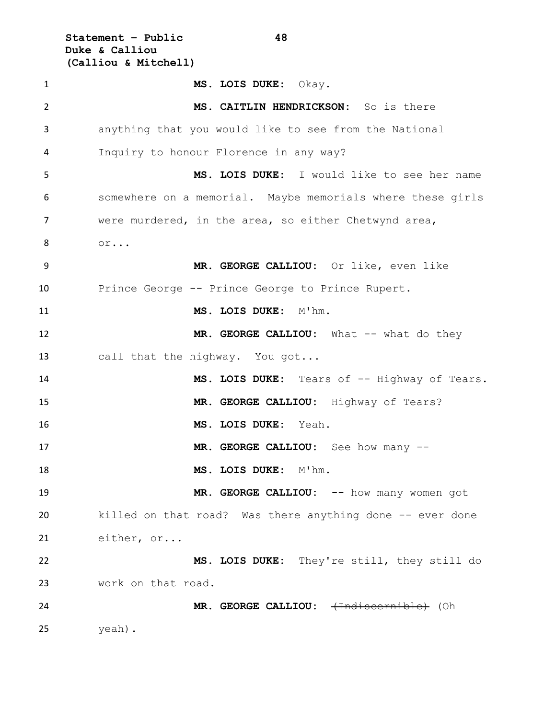**Statement – Public 48 Duke & Calliou (Calliou & Mitchell)**

 **MS. LOIS DUKE:** Okay. **MS. CAITLIN HENDRICKSON:** So is there anything that you would like to see from the National Inquiry to honour Florence in any way? **MS. LOIS DUKE:** I would like to see her name somewhere on a memorial. Maybe memorials where these girls were murdered, in the area, so either Chetwynd area, or... **MR. GEORGE CALLIOU:** Or like, even like Prince George -- Prince George to Prince Rupert. **MS. LOIS DUKE:** M'hm. 12 MR. GEORGE CALLIOU: What -- what do they 13 call that the highway. You got... **MS. LOIS DUKE:** Tears of -- Highway of Tears. **MR. GEORGE CALLIOU:** Highway of Tears? **MS. LOIS DUKE:** Yeah. 17 MR. GEORGE CALLIOU: See how many -- **MS. LOIS DUKE:** M'hm. 19 MR. GEORGE CALLIOU:  $--$  how many women got killed on that road? Was there anything done -- ever done either, or... **MS. LOIS DUKE:** They're still, they still do work on that road. **MR. GEORGE CALLIOU:** (Indiscernible) (Oh yeah).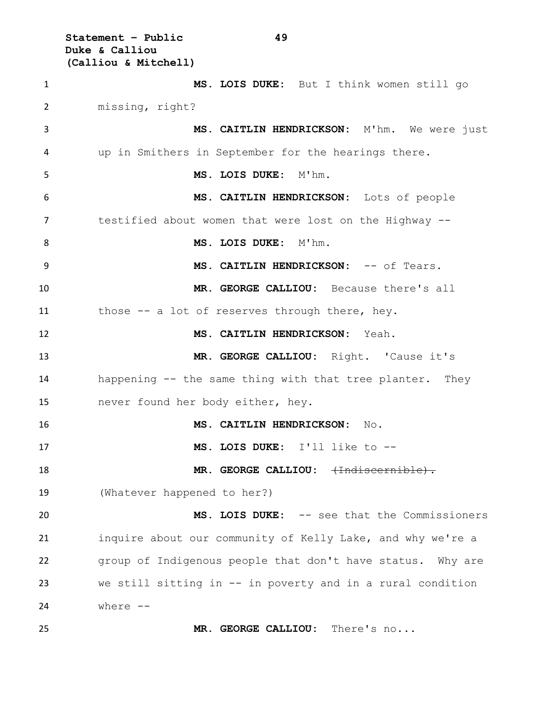**Statement – Public 49 Duke & Calliou (Calliou & Mitchell)**

 **MS. LOIS DUKE:** But I think women still go missing, right? **MS. CAITLIN HENDRICKSON:** M'hm. We were just up in Smithers in September for the hearings there. **MS. LOIS DUKE:** M'hm. **MS. CAITLIN HENDRICKSON:** Lots of people testified about women that were lost on the Highway -- 8 MS. LOIS DUKE: M'hm. **MS. CAITLIN HENDRICKSON:** -- of Tears. **MR. GEORGE CALLIOU:** Because there's all those -- a lot of reserves through there, hey. **MS. CAITLIN HENDRICKSON:** Yeah. **MR. GEORGE CALLIOU:** Right. 'Cause it's happening -- the same thing with that tree planter. They never found her body either, hey. **MS. CAITLIN HENDRICKSON:** No. **MS. LOIS DUKE:** I'll like to -- **MR. GEORGE CALLIOU:** (Indiscernible). (Whatever happened to her?) **MS. LOIS DUKE:** -- see that the Commissioners inquire about our community of Kelly Lake, and why we're a group of Indigenous people that don't have status. Why are we still sitting in -- in poverty and in a rural condition where -- **MR. GEORGE CALLIOU:** There's no...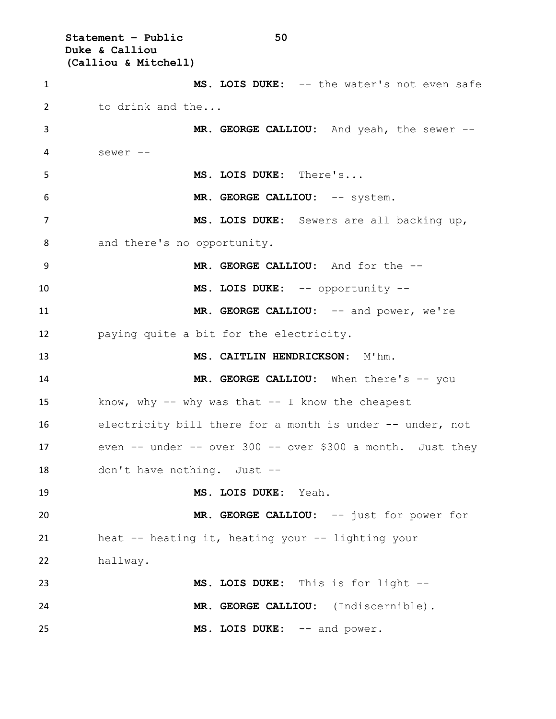**Statement – Public 50 Duke & Calliou (Calliou & Mitchell) MS. LOIS DUKE:** -- the water's not even safe to drink and the... **MR. GEORGE CALLIOU:** And yeah, the sewer -- sewer -- **MS. LOIS DUKE:** There's... **MR. GEORGE CALLIOU:** -- system. **MS. LOIS DUKE:** Sewers are all backing up, and there's no opportunity. **MR. GEORGE CALLIOU:** And for the -- **MS. LOIS DUKE:** -- opportunity -- **MR. GEORGE CALLIOU:** -- and power, we're paying quite a bit for the electricity. **MS. CAITLIN HENDRICKSON:** M'hm. 14 MR. GEORGE CALLIOU: When there's -- you know, why -- why was that -- I know the cheapest electricity bill there for a month is under -- under, not even -- under -- over 300 -- over \$300 a month. Just they don't have nothing. Just -- **MS. LOIS DUKE:** Yeah. **MR. GEORGE CALLIOU:** -- just for power for heat -- heating it, heating your -- lighting your hallway. **MS. LOIS DUKE:** This is for light -- **MR. GEORGE CALLIOU:** (Indiscernible). 25 MS. LOIS DUKE:  $--$  and power.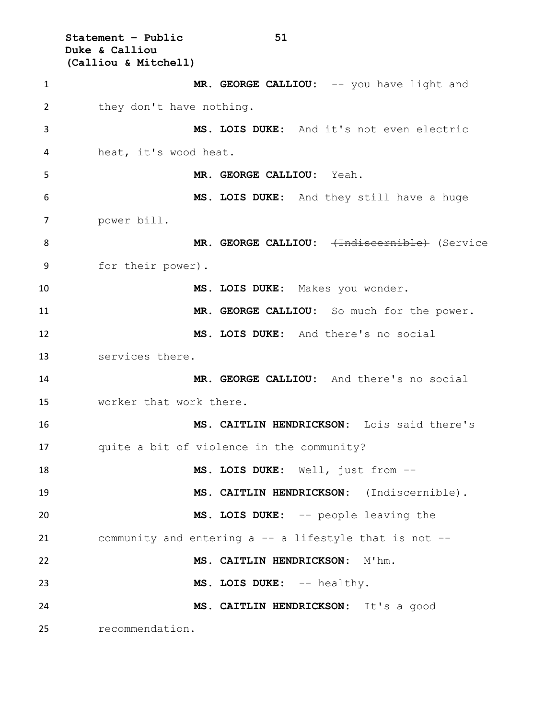**Statement – Public 51 Duke & Calliou (Calliou & Mitchell)** 1 MR. GEORGE CALLIOU: -- you have light and 2 they don't have nothing. **MS. LOIS DUKE:** And it's not even electric heat, it's wood heat. **MR. GEORGE CALLIOU:** Yeah. **MS. LOIS DUKE:** And they still have a huge power bill. 8 MR. GEORGE CALLIOU: <del>(Indiscernible)</del> (Service for their power). **MS. LOIS DUKE:** Makes you wonder. **MR. GEORGE CALLIOU:** So much for the power. **MS. LOIS DUKE:** And there's no social services there. **MR. GEORGE CALLIOU:** And there's no social worker that work there. **MS. CAITLIN HENDRICKSON:** Lois said there's quite a bit of violence in the community? **MS. LOIS DUKE:** Well, just from -- **MS. CAITLIN HENDRICKSON:** (Indiscernible). **MS. LOIS DUKE:** -- people leaving the community and entering a -- a lifestyle that is not -- **MS. CAITLIN HENDRICKSON:** M'hm. 23 MS. LOIS DUKE: -- healthy. **MS. CAITLIN HENDRICKSON:** It's a good recommendation.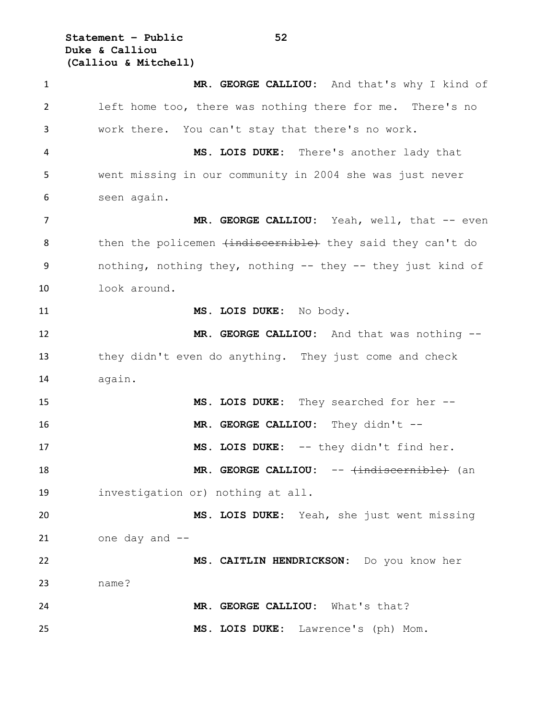**Statement – Public 52 Duke & Calliou (Calliou & Mitchell)**

 **MR. GEORGE CALLIOU:** And that's why I kind of left home too, there was nothing there for me. There's no work there. You can't stay that there's no work. **MS. LOIS DUKE:** There's another lady that went missing in our community in 2004 she was just never seen again. 7 MR. GEORGE CALLIOU: Yeah, well, that -- even 8 then the policemen (indiscernible) they said they can't do nothing, nothing they, nothing -- they -- they just kind of look around. **MS. LOIS DUKE:** No body. **MR. GEORGE CALLIOU:** And that was nothing -- they didn't even do anything. They just come and check again. **MS. LOIS DUKE:** They searched for her -- 16 MR. GEORGE CALLIOU: They didn't -- **MS. LOIS DUKE:** -- they didn't find her. **MR. GEORGE CALLIOU:** -- <del>(indiscernible)</del> (an investigation or) nothing at all. **MS. LOIS DUKE:** Yeah, she just went missing one day and -- **MS. CAITLIN HENDRICKSON:** Do you know her name? **MR. GEORGE CALLIOU:** What's that? **MS. LOIS DUKE:** Lawrence's (ph) Mom.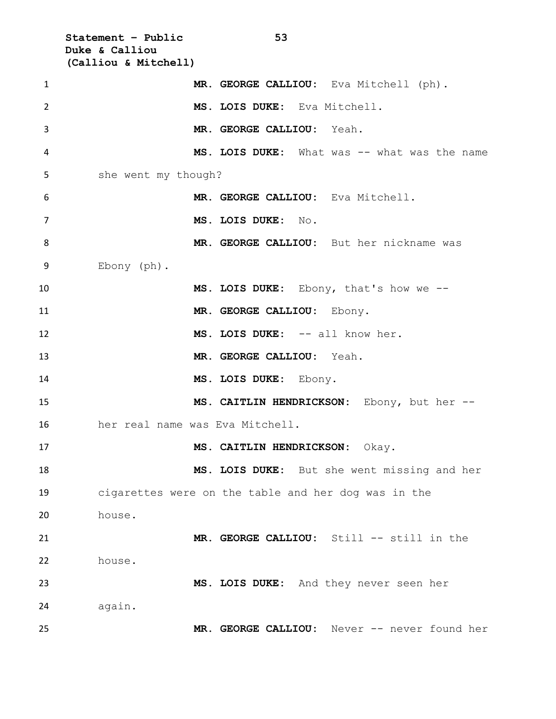**Statement – Public 53 Duke & Calliou (Calliou & Mitchell) MR. GEORGE CALLIOU:** Eva Mitchell (ph). **MS. LOIS DUKE:** Eva Mitchell. **MR. GEORGE CALLIOU:** Yeah. **MS. LOIS DUKE:** What was -- what was the name she went my though? **MR. GEORGE CALLIOU:** Eva Mitchell. **MS. LOIS DUKE:** No. **MR. GEORGE CALLIOU:** But her nickname was Ebony (ph). **MS. LOIS DUKE:** Ebony, that's how we -- **MR. GEORGE CALLIOU:** Ebony. 12 MS. LOIS DUKE:  $--$  all know her. **MR. GEORGE CALLIOU:** Yeah. **MS. LOIS DUKE:** Ebony. **MS. CAITLIN HENDRICKSON:** Ebony, but her -- her real name was Eva Mitchell. **MS. CAITLIN HENDRICKSON:** Okay. **MS. LOIS DUKE:** But she went missing and her cigarettes were on the table and her dog was in the house. **MR. GEORGE CALLIOU:** Still -- still in the house. **MS. LOIS DUKE:** And they never seen her again. **MR. GEORGE CALLIOU:** Never -- never found her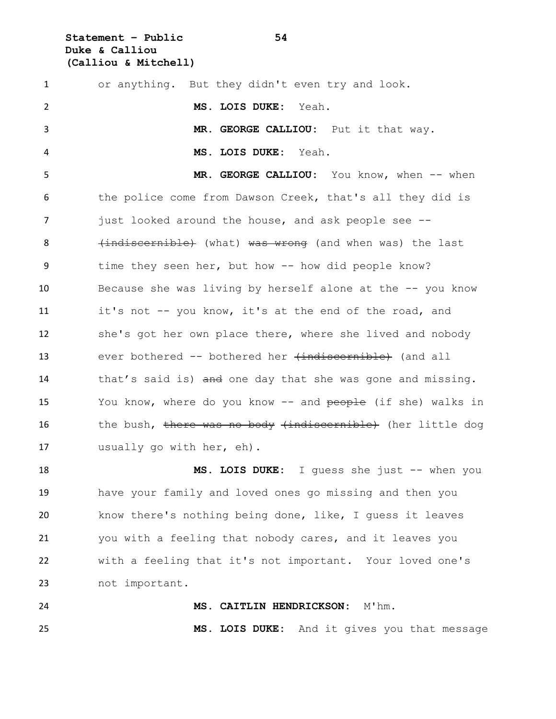**Statement – Public 54 Duke & Calliou (Calliou & Mitchell)**

| $\mathbf{1}$ | or anything. But they didn't even try and look.             |
|--------------|-------------------------------------------------------------|
| 2            | MS. LOIS DUKE: Yeah.                                        |
| 3            | MR. GEORGE CALLIOU: Put it that way.                        |
| 4            | MS. LOIS DUKE:<br>Yeah.                                     |
| 5            | MR. GEORGE CALLIOU: You know, when -- when                  |
| 6            | the police come from Dawson Creek, that's all they did is   |
| 7            | just looked around the house, and ask people see --         |
| 8            | (indiscernible) (what) was wrong (and when was) the last    |
| 9            | time they seen her, but how -- how did people know?         |
| 10           | Because she was living by herself alone at the -- you know  |
| 11           | it's not -- you know, it's at the end of the road, and      |
| 12           | she's got her own place there, where she lived and nobody   |
| 13           | ever bothered -- bothered her $\{indiscernible\}$ (and all  |
| 14           | that's said is) and one day that she was gone and missing.  |
| 15           | You know, where do you know -- and people (if she) walks in |
| 16           | the bush, there was no body (indiscernible) (her little dog |
| 17           | usually go with her, eh).                                   |
|              |                                                             |

 **MS. LOIS DUKE:** I guess she just -- when you have your family and loved ones go missing and then you know there's nothing being done, like, I guess it leaves you with a feeling that nobody cares, and it leaves you with a feeling that it's not important. Your loved one's not important.

 **MS. CAITLIN HENDRICKSON:** M'hm. **MS. LOIS DUKE:** And it gives you that message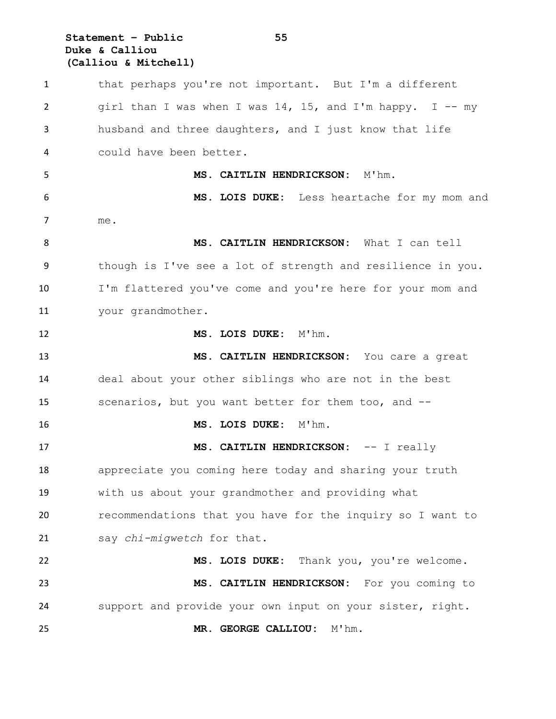## **Statement – Public 55 Duke & Calliou (Calliou & Mitchell)**

 that perhaps you're not important. But I'm a different girl than I was when I was 14, 15, and I'm happy. I -- my husband and three daughters, and I just know that life could have been better. **MS. CAITLIN HENDRICKSON:** M'hm. **MS. LOIS DUKE:** Less heartache for my mom and me. **MS. CAITLIN HENDRICKSON:** What I can tell though is I've see a lot of strength and resilience in you. I'm flattered you've come and you're here for your mom and your grandmother. **MS. LOIS DUKE:** M'hm. **MS. CAITLIN HENDRICKSON:** You care a great deal about your other siblings who are not in the best scenarios, but you want better for them too, and -- **MS. LOIS DUKE:** M'hm. **MS. CAITLIN HENDRICKSON:** -- I really appreciate you coming here today and sharing your truth with us about your grandmother and providing what recommendations that you have for the inquiry so I want to say *chi-migwetch* for that. **MS. LOIS DUKE:** Thank you, you're welcome. **MS. CAITLIN HENDRICKSON:** For you coming to support and provide your own input on your sister, right. **MR. GEORGE CALLIOU:** M'hm.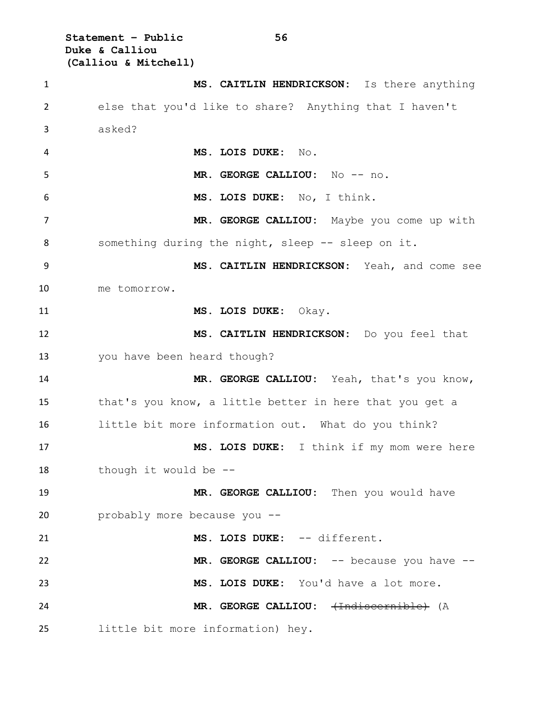**Statement – Public 56 Duke & Calliou (Calliou & Mitchell)**

 **MS. CAITLIN HENDRICKSON:** Is there anything else that you'd like to share? Anything that I haven't asked? **MS. LOIS DUKE:** No. **MR. GEORGE CALLIOU:** No -- no. **MS. LOIS DUKE:** No, I think. **MR. GEORGE CALLIOU:** Maybe you come up with 8 something during the night, sleep -- sleep on it. **MS. CAITLIN HENDRICKSON:** Yeah, and come see me tomorrow. **MS. LOIS DUKE:** Okay. **MS. CAITLIN HENDRICKSON:** Do you feel that you have been heard though? **MR. GEORGE CALLIOU:** Yeah, that's you know, that's you know, a little better in here that you get a little bit more information out. What do you think? **MS. LOIS DUKE:** I think if my mom were here though it would be -- **MR. GEORGE CALLIOU:** Then you would have probably more because you -- **MS. LOIS DUKE:** -- different. **MR. GEORGE CALLIOU:** -- because you have -- **MS. LOIS DUKE:** You'd have a lot more. **MR. GEORGE CALLIOU:**  $\leftarrow$  Trialiscornible) (A little bit more information) hey.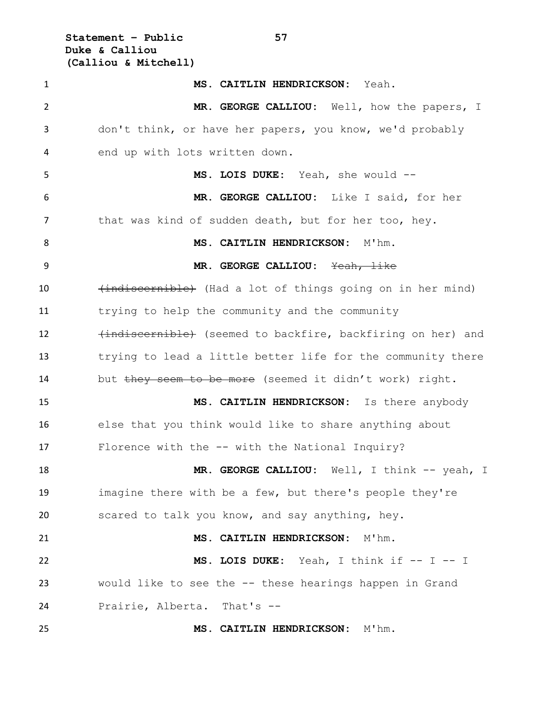**Statement – Public 57 Duke & Calliou (Calliou & Mitchell)**

 **MS. CAITLIN HENDRICKSON:** Yeah. **MR. GEORGE CALLIOU:** Well, how the papers, I don't think, or have her papers, you know, we'd probably end up with lots written down. **MS. LOIS DUKE:** Yeah, she would -- **MR. GEORGE CALLIOU:** Like I said, for her 7 that was kind of sudden death, but for her too, hey. **MS. CAITLIN HENDRICKSON:** M'hm. **MR. GEORGE CALLIOU:** Yeah, like 10 (indiscernible) (Had a lot of things going on in her mind) trying to help the community and the community 12 (indiscernible) (seemed to backfire, backfiring on her) and trying to lead a little better life for the community there 14 but they seem to be more (seemed it didn't work) right. **MS. CAITLIN HENDRICKSON:** Is there anybody else that you think would like to share anything about Florence with the -- with the National Inquiry? **MR. GEORGE CALLIOU:** Well, I think -- yeah, I imagine there with be a few, but there's people they're scared to talk you know, and say anything, hey. **MS. CAITLIN HENDRICKSON:** M'hm. **MS. LOIS DUKE:** Yeah, I think if -- I -- I would like to see the -- these hearings happen in Grand Prairie, Alberta. That's -- **MS. CAITLIN HENDRICKSON:** M'hm.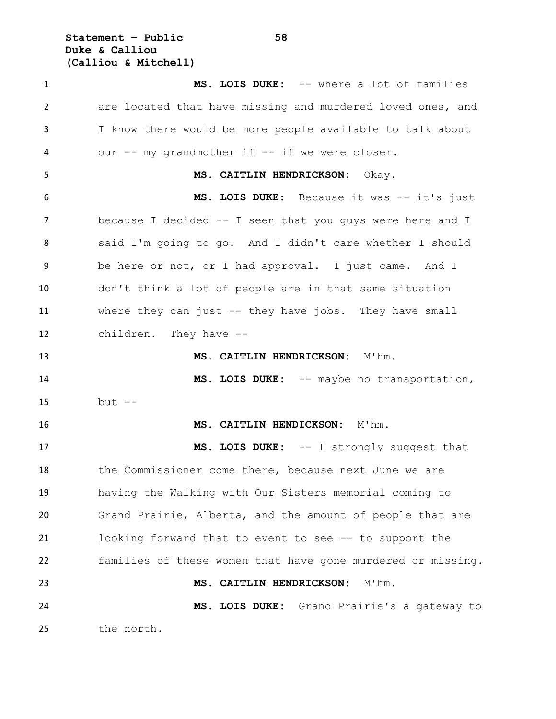**Statement – Public 58 Duke & Calliou (Calliou & Mitchell)**

 **MS. LOIS DUKE:** -- where a lot of families are located that have missing and murdered loved ones, and I know there would be more people available to talk about 4 our -- my grandmother if -- if we were closer. **MS. CAITLIN HENDRICKSON:** Okay. **MS. LOIS DUKE:** Because it was -- it's just because I decided -- I seen that you guys were here and I said I'm going to go. And I didn't care whether I should be here or not, or I had approval. I just came. And I don't think a lot of people are in that same situation where they can just -- they have jobs. They have small children. They have -- **MS. CAITLIN HENDRICKSON:** M'hm. 14 MS. LOIS DUKE: -- maybe no transportation, but -- **MS. CAITLIN HENDICKSON:** M'hm. **MS. LOIS DUKE:** -- I strongly suggest that 18 the Commissioner come there, because next June we are having the Walking with Our Sisters memorial coming to Grand Prairie, Alberta, and the amount of people that are looking forward that to event to see -- to support the families of these women that have gone murdered or missing. **MS. CAITLIN HENDRICKSON:** M'hm. **MS. LOIS DUKE:** Grand Prairie's a gateway to the north.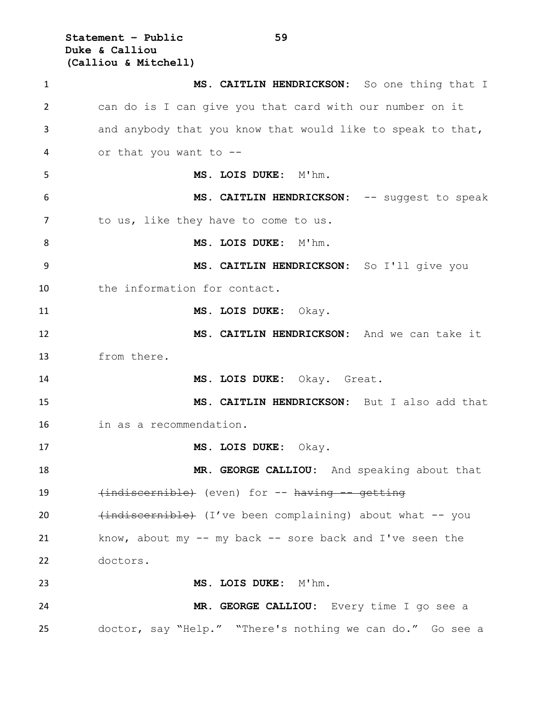**Statement – Public 59 Duke & Calliou (Calliou & Mitchell)**

 **MS. CAITLIN HENDRICKSON:** So one thing that I can do is I can give you that card with our number on it and anybody that you know that would like to speak to that, or that you want to -- **MS. LOIS DUKE:** M'hm. **MS. CAITLIN HENDRICKSON:** -- suggest to speak 7 to us, like they have to come to us. 8 MS. LOIS DUKE: M'hm. **MS. CAITLIN HENDRICKSON:** So I'll give you 10 the information for contact. **MS. LOIS DUKE:** Okay. **MS. CAITLIN HENDRICKSON:** And we can take it from there. **MS. LOIS DUKE:** Okay. Great. **MS. CAITLIN HENDRICKSON:** But I also add that in as a recommendation. **MS. LOIS DUKE:** Okay. **MR. GEORGE CALLIOU:** And speaking about that 19 (indiscernible) (even) for -- having -- getting 20 (indiscernible) (I've been complaining) about what -- you know, about my -- my back -- sore back and I've seen the doctors. **MS. LOIS DUKE:** M'hm. **MR. GEORGE CALLIOU:** Every time I go see a doctor, say "Help." "There's nothing we can do." Go see a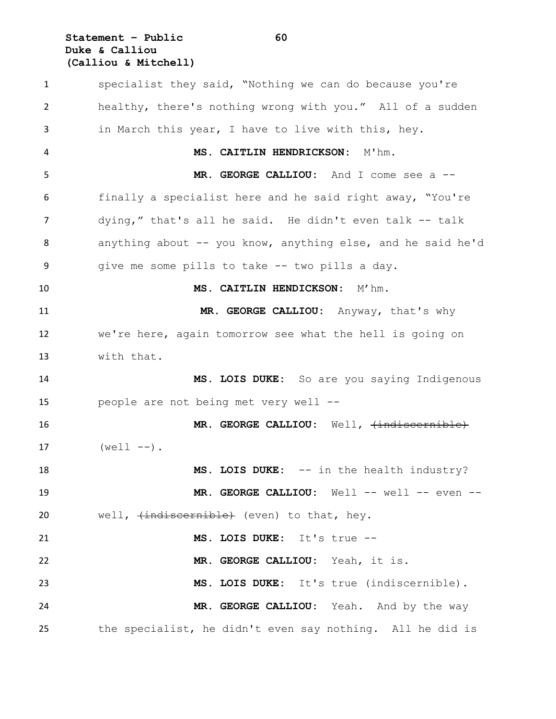## **Statement – Public 60 Duke & Calliou (Calliou & Mitchell)**

 specialist they said, "Nothing we can do because you're healthy, there's nothing wrong with you." All of a sudden in March this year, I have to live with this, hey. **MS. CAITLIN HENDRICKSON:** M'hm. **MR. GEORGE CALLIOU:** And I come see a -- finally a specialist here and he said right away, "You're dying," that's all he said. He didn't even talk -- talk anything about -- you know, anything else, and he said he'd give me some pills to take -- two pills a day. **MS. CAITLIN HENDICKSON:** M'hm. **MR. GEORGE CALLIOU:** Anyway, that's why we're here, again tomorrow see what the hell is going on with that. **MS. LOIS DUKE:** So are you saying Indigenous people are not being met very well -- 16 MR. GEORGE CALLIOU: Well,  $\{\text{indiscernible}\}$  $(well - -)$ . **MS. LOIS DUKE:** -- in the health industry? **MR. GEORGE CALLIOU:** Well -- well -- even -- 20 well,  $\{\text{indiscernible}\}$  (even) to that, hey. **MS. LOIS DUKE:** It's true -- **MR. GEORGE CALLIOU:** Yeah, it is. **MS. LOIS DUKE:** It's true (indiscernible). **MR. GEORGE CALLIOU:** Yeah. And by the way the specialist, he didn't even say nothing. All he did is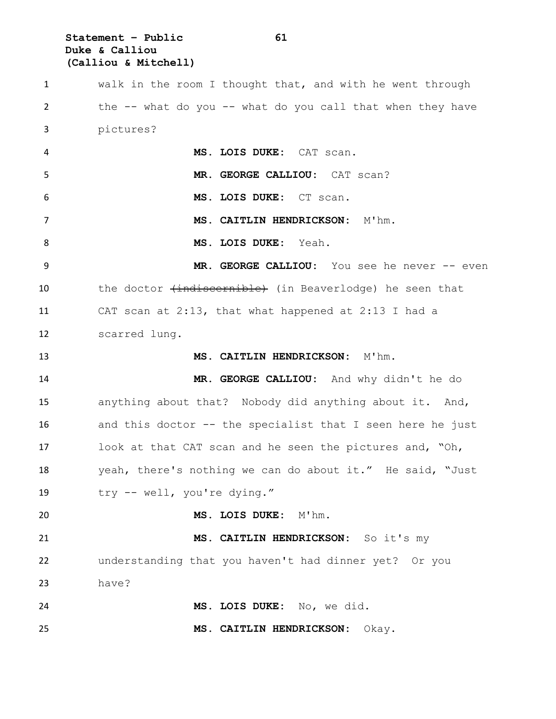**Statement – Public 61 Duke & Calliou (Calliou & Mitchell)**

 walk in the room I thought that, and with he went through the -- what do you -- what do you call that when they have pictures? **MS. LOIS DUKE:** CAT scan. **MR. GEORGE CALLIOU:** CAT scan? **MS. LOIS DUKE:** CT scan. **MS. CAITLIN HENDRICKSON:** M'hm. **MS. LOIS DUKE:** Yeah. **MR. GEORGE CALLIOU:** You see he never -- even 10 the doctor (indiscernible) (in Beaverlodge) he seen that CAT scan at 2:13, that what happened at 2:13 I had a scarred lung. **MS. CAITLIN HENDRICKSON:** M'hm. **MR. GEORGE CALLIOU:** And why didn't he do anything about that? Nobody did anything about it. And, and this doctor -- the specialist that I seen here he just look at that CAT scan and he seen the pictures and, "Oh, yeah, there's nothing we can do about it." He said, "Just try -- well, you're dying." **MS. LOIS DUKE:** M'hm. **MS. CAITLIN HENDRICKSON:** So it's my understanding that you haven't had dinner yet? Or you have? **MS. LOIS DUKE:** No, we did. **MS. CAITLIN HENDRICKSON:** Okay.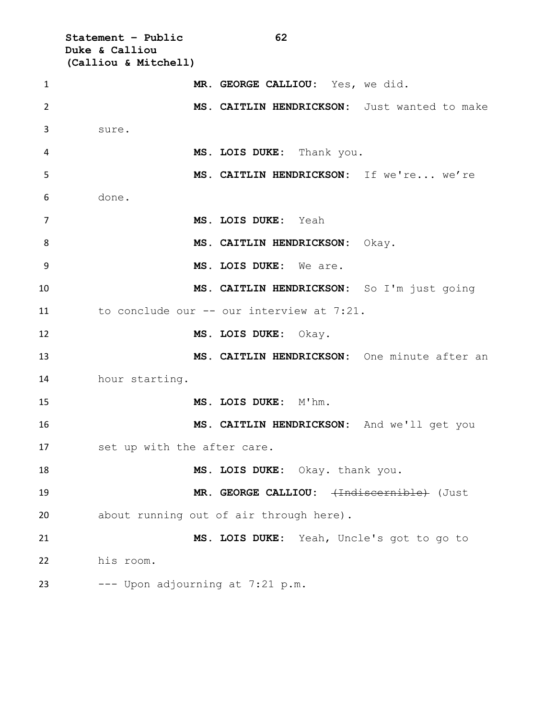**Statement – Public 62 Duke & Calliou (Calliou & Mitchell) MR. GEORGE CALLIOU:** Yes, we did. **MS. CAITLIN HENDRICKSON:** Just wanted to make sure. **MS. LOIS DUKE:** Thank you. **MS. CAITLIN HENDRICKSON:** If we're... we're done. **MS. LOIS DUKE:** Yeah 8 MS. CAITLIN HENDRICKSON: Okay. **MS. LOIS DUKE:** We are. **MS. CAITLIN HENDRICKSON:** So I'm just going to conclude our -- our interview at 7:21. **MS. LOIS DUKE:** Okay. **MS. CAITLIN HENDRICKSON:** One minute after an hour starting. **MS. LOIS DUKE:** M'hm. **MS. CAITLIN HENDRICKSON:** And we'll get you set up with the after care. **MS. LOIS DUKE:** Okay. thank you. 19 MR. GEORGE CALLIOU:  $\leftarrow$ Indiscernible (Just about running out of air through here). **MS. LOIS DUKE:** Yeah, Uncle's got to go to his room. --- Upon adjourning at  $7:21$  p.m.